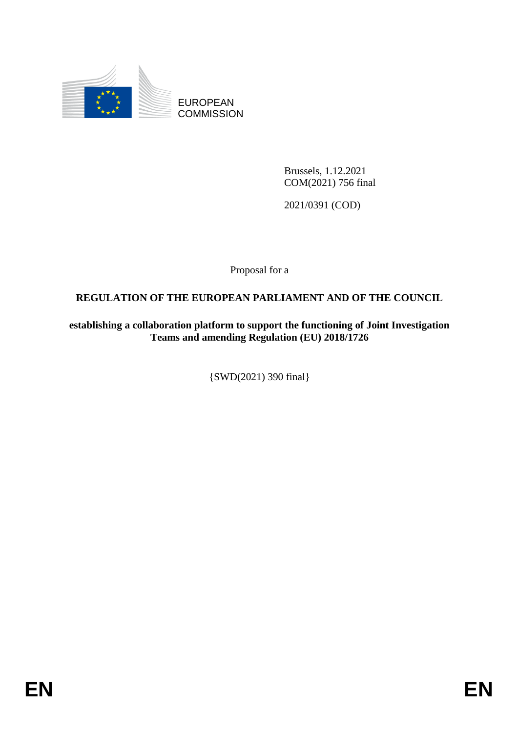

EUROPEAN **COMMISSION** 

> Brussels, 1.12.2021 COM(2021) 756 final

2021/0391 (COD)

Proposal for a

# **REGULATION OF THE EUROPEAN PARLIAMENT AND OF THE COUNCIL**

**establishing a collaboration platform to support the functioning of Joint Investigation Teams and amending Regulation (EU) 2018/1726**

{SWD(2021) 390 final}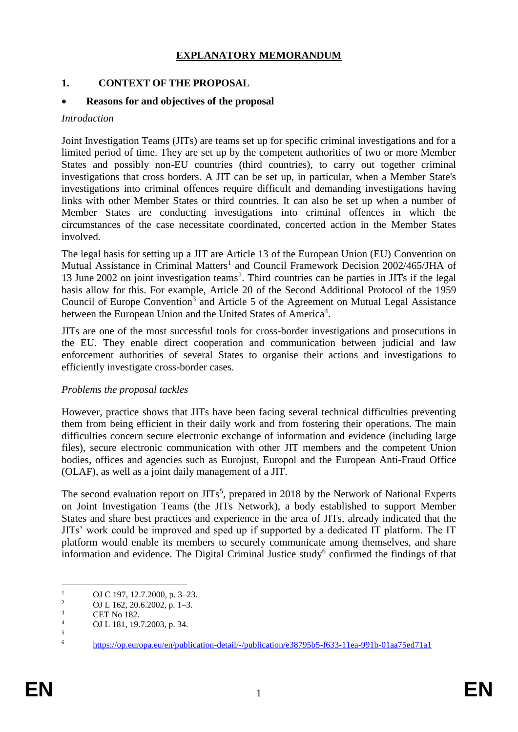### **EXPLANATORY MEMORANDUM**

### **1. CONTEXT OF THE PROPOSAL**

#### **Reasons for and objectives of the proposal**

#### *Introduction*

Joint Investigation Teams (JITs) are teams set up for specific criminal investigations and for a limited period of time. They are set up by the competent authorities of two or more Member States and possibly non-EU countries (third countries), to carry out together criminal investigations that cross borders. A JIT can be set up, in particular, when a Member State's investigations into criminal offences require difficult and demanding investigations having links with other Member States or third countries. It can also be set up when a number of Member States are conducting investigations into criminal offences in which the circumstances of the case necessitate coordinated, concerted action in the Member States involved.

The legal basis for setting up a JIT are Article 13 of the European Union (EU) Convention on Mutual Assistance in Criminal Matters<sup>1</sup> and Council Framework Decision 2002/465/JHA of 13 June 2002 on joint investigation teams<sup>2</sup>. Third countries can be parties in JITs if the legal basis allow for this. For example, Article 20 of the Second Additional Protocol of the 1959 Council of Europe Convention<sup>3</sup> and Article 5 of the Agreement on Mutual Legal Assistance between the European Union and the United States of America<sup>4</sup>.

JITs are one of the most successful tools for cross-border investigations and prosecutions in the EU. They enable direct cooperation and communication between judicial and law enforcement authorities of several States to organise their actions and investigations to efficiently investigate cross-border cases.

#### *Problems the proposal tackles*

However, practice shows that JITs have been facing several technical difficulties preventing them from being efficient in their daily work and from fostering their operations. The main difficulties concern secure electronic exchange of information and evidence (including large files), secure electronic communication with other JIT members and the competent Union bodies, offices and agencies such as Eurojust, Europol and the European Anti-Fraud Office (OLAF), as well as a joint daily management of a JIT.

The second evaluation report on  $JITs<sup>5</sup>$ , prepared in 2018 by the Network of National Experts on Joint Investigation Teams (the JITs Network), a body established to support Member States and share best practices and experience in the area of JITs, already indicated that the JITs' work could be improved and sped up if supported by a dedicated IT platform. The IT platform would enable its members to securely communicate among themselves, and share information and evidence. The Digital Criminal Justice study<sup>6</sup> confirmed the findings of that

1

<sup>&</sup>lt;sup>1</sup> OJ C 197, 12.7.2000, p. 3–23.

<sup>&</sup>lt;sup>2</sup> OJ L 162, 20.6.2002, p. 1–3.<br><sup>3</sup> CET N<sub>2</sub>, 182

 $\frac{3}{4}$  CET No 182.

<sup>4</sup> OJ L 181, 19.7.2003, p. 34.

<sup>5</sup>

<sup>6</sup> <https://op.europa.eu/en/publication-detail/-/publication/e38795b5-f633-11ea-991b-01aa75ed71a1>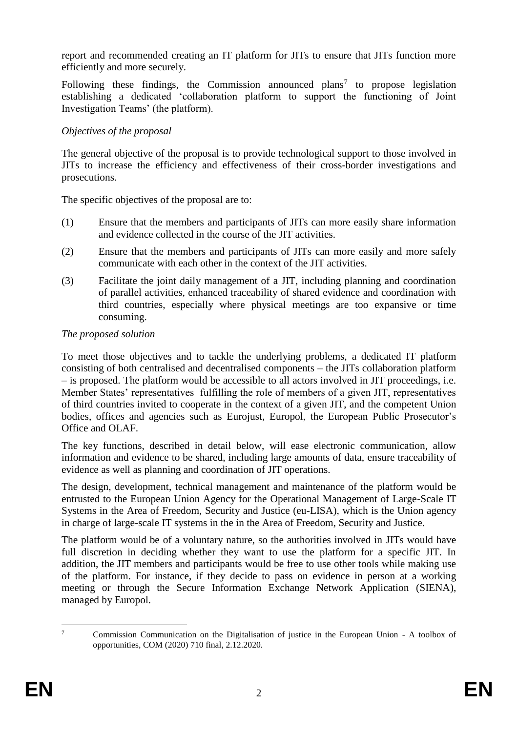report and recommended creating an IT platform for JITs to ensure that JITs function more efficiently and more securely.

Following these findings, the Commission announced plans<sup>7</sup> to propose legislation establishing a dedicated 'collaboration platform to support the functioning of Joint Investigation Teams' (the platform).

## *Objectives of the proposal*

The general objective of the proposal is to provide technological support to those involved in JITs to increase the efficiency and effectiveness of their cross-border investigations and prosecutions.

The specific objectives of the proposal are to:

- (1) Ensure that the members and participants of JITs can more easily share information and evidence collected in the course of the JIT activities.
- (2) Ensure that the members and participants of JITs can more easily and more safely communicate with each other in the context of the JIT activities.
- (3) Facilitate the joint daily management of a JIT, including planning and coordination of parallel activities, enhanced traceability of shared evidence and coordination with third countries, especially where physical meetings are too expansive or time consuming.

### *The proposed solution*

To meet those objectives and to tackle the underlying problems, a dedicated IT platform consisting of both centralised and decentralised components – the JITs collaboration platform – is proposed. The platform would be accessible to all actors involved in JIT proceedings, i.e. Member States' representatives fulfilling the role of members of a given JIT, representatives of third countries invited to cooperate in the context of a given JIT, and the competent Union bodies, offices and agencies such as Eurojust, Europol, the European Public Prosecutor's Office and OLAF.

The key functions, described in detail below, will ease electronic communication, allow information and evidence to be shared, including large amounts of data, ensure traceability of evidence as well as planning and coordination of JIT operations.

The design, development, technical management and maintenance of the platform would be entrusted to the European Union Agency for the Operational Management of Large-Scale IT Systems in the Area of Freedom, Security and Justice (eu-LISA), which is the Union agency in charge of large-scale IT systems in the in the Area of Freedom, Security and Justice.

The platform would be of a voluntary nature, so the authorities involved in JITs would have full discretion in deciding whether they want to use the platform for a specific JIT. In addition, the JIT members and participants would be free to use other tools while making use of the platform. For instance, if they decide to pass on evidence in person at a working meeting or through the Secure Information Exchange Network Application (SIENA), managed by Europol.

 $\overline{7}$ <sup>7</sup> Commission Communication on the Digitalisation of justice in the European Union - A toolbox of opportunities, COM (2020) 710 final, 2.12.2020.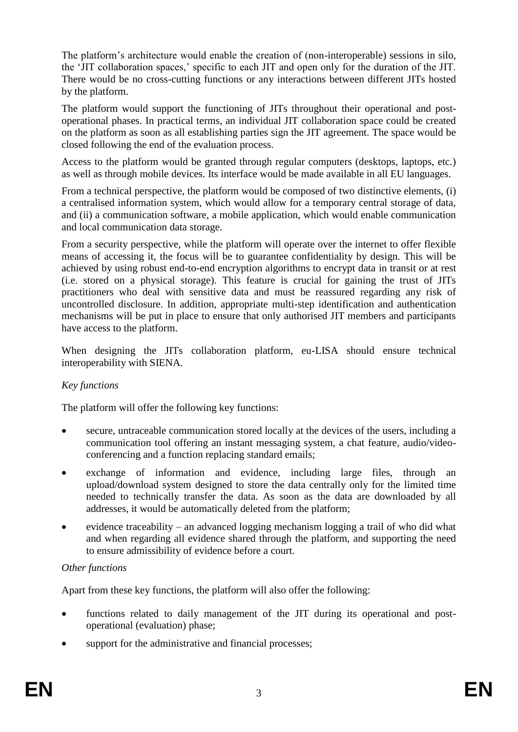The platform's architecture would enable the creation of (non-interoperable) sessions in silo, the 'JIT collaboration spaces,' specific to each JIT and open only for the duration of the JIT. There would be no cross-cutting functions or any interactions between different JITs hosted by the platform.

The platform would support the functioning of JITs throughout their operational and postoperational phases. In practical terms, an individual JIT collaboration space could be created on the platform as soon as all establishing parties sign the JIT agreement. The space would be closed following the end of the evaluation process.

Access to the platform would be granted through regular computers (desktops, laptops, etc.) as well as through mobile devices. Its interface would be made available in all EU languages.

From a technical perspective, the platform would be composed of two distinctive elements, (i) a centralised information system, which would allow for a temporary central storage of data, and (ii) a communication software, a mobile application, which would enable communication and local communication data storage.

From a security perspective, while the platform will operate over the internet to offer flexible means of accessing it, the focus will be to guarantee confidentiality by design. This will be achieved by using robust end-to-end encryption algorithms to encrypt data in transit or at rest (i.e. stored on a physical storage). This feature is crucial for gaining the trust of JITs practitioners who deal with sensitive data and must be reassured regarding any risk of uncontrolled disclosure. In addition, appropriate multi-step identification and authentication mechanisms will be put in place to ensure that only authorised JIT members and participants have access to the platform.

When designing the JITs collaboration platform, eu-LISA should ensure technical interoperability with SIENA.

### *Key functions*

The platform will offer the following key functions:

- secure, untraceable communication stored locally at the devices of the users, including a communication tool offering an instant messaging system, a chat feature, audio/videoconferencing and a function replacing standard emails;
- exchange of information and evidence, including large files, through an upload/download system designed to store the data centrally only for the limited time needed to technically transfer the data. As soon as the data are downloaded by all addresses, it would be automatically deleted from the platform;
- evidence traceability an advanced logging mechanism logging a trail of who did what and when regarding all evidence shared through the platform, and supporting the need to ensure admissibility of evidence before a court.

#### *Other functions*

Apart from these key functions, the platform will also offer the following:

- functions related to daily management of the JIT during its operational and postoperational (evaluation) phase;
- support for the administrative and financial processes;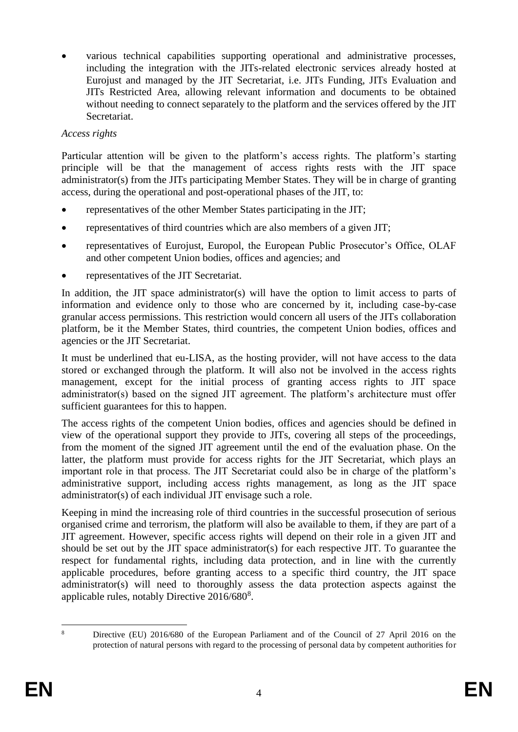various technical capabilities supporting operational and administrative processes, including the integration with the JITs-related electronic services already hosted at Eurojust and managed by the JIT Secretariat, i.e. JITs Funding, JITs Evaluation and JITs Restricted Area, allowing relevant information and documents to be obtained without needing to connect separately to the platform and the services offered by the JIT Secretariat.

### *Access rights*

Particular attention will be given to the platform's access rights. The platform's starting principle will be that the management of access rights rests with the JIT space administrator(s) from the JITs participating Member States. They will be in charge of granting access, during the operational and post-operational phases of the JIT, to:

- representatives of the other Member States participating in the JIT;
- representatives of third countries which are also members of a given JIT;
- representatives of Eurojust, Europol, the European Public Prosecutor's Office, OLAF and other competent Union bodies, offices and agencies; and
- representatives of the JIT Secretariat.

In addition, the JIT space administrator(s) will have the option to limit access to parts of information and evidence only to those who are concerned by it, including case-by-case granular access permissions. This restriction would concern all users of the JITs collaboration platform, be it the Member States, third countries, the competent Union bodies, offices and agencies or the JIT Secretariat.

It must be underlined that eu-LISA, as the hosting provider, will not have access to the data stored or exchanged through the platform. It will also not be involved in the access rights management, except for the initial process of granting access rights to JIT space administrator(s) based on the signed JIT agreement. The platform's architecture must offer sufficient guarantees for this to happen.

The access rights of the competent Union bodies, offices and agencies should be defined in view of the operational support they provide to JITs, covering all steps of the proceedings, from the moment of the signed JIT agreement until the end of the evaluation phase. On the latter, the platform must provide for access rights for the JIT Secretariat, which plays an important role in that process. The JIT Secretariat could also be in charge of the platform's administrative support, including access rights management, as long as the JIT space administrator(s) of each individual JIT envisage such a role.

Keeping in mind the increasing role of third countries in the successful prosecution of serious organised crime and terrorism, the platform will also be available to them, if they are part of a JIT agreement. However, specific access rights will depend on their role in a given JIT and should be set out by the JIT space administrator(s) for each respective JIT. To guarantee the respect for fundamental rights, including data protection, and in line with the currently applicable procedures, before granting access to a specific third country, the JIT space administrator(s) will need to thoroughly assess the data protection aspects against the applicable rules, notably Directive 2016/680<sup>8</sup>.

 $\overline{8}$ <sup>8</sup> Directive (EU) 2016/680 of the European Parliament and of the Council of 27 April 2016 on the protection of natural persons with regard to the processing of personal data by competent authorities for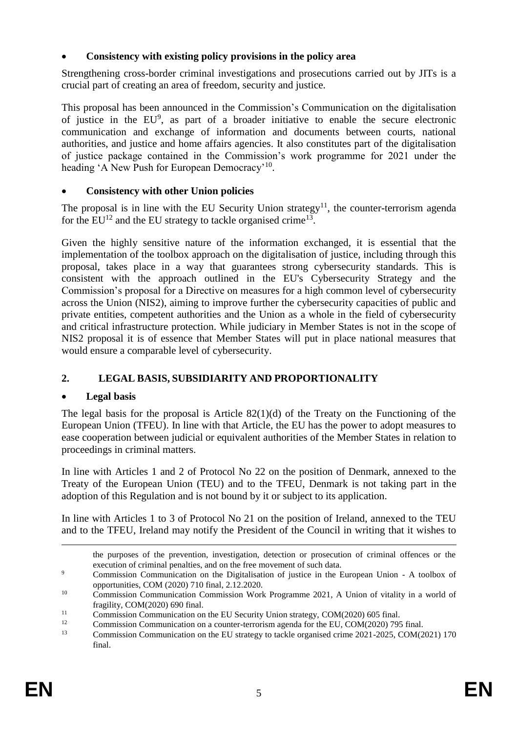## **Consistency with existing policy provisions in the policy area**

Strengthening cross-border criminal investigations and prosecutions carried out by JITs is a crucial part of creating an area of freedom, security and justice.

This proposal has been announced in the Commission's Communication on the digitalisation of justice in the  $EU^9$ , as part of a broader initiative to enable the secure electronic communication and exchange of information and documents between courts, national authorities, and justice and home affairs agencies. It also constitutes part of the digitalisation of justice package contained in the Commission's work programme for 2021 under the heading 'A New Push for European Democracy'<sup>10</sup>.

## **Consistency with other Union policies**

The proposal is in line with the EU Security Union strategy<sup>11</sup>, the counter-terrorism agenda for the  $EU^{12}$  and the EU strategy to tackle organised crime<sup>13</sup>.

Given the highly sensitive nature of the information exchanged, it is essential that the implementation of the toolbox approach on the digitalisation of justice, including through this proposal, takes place in a way that guarantees strong cybersecurity standards. This is consistent with the approach outlined in the EU's Cybersecurity Strategy and the Commission's proposal for a Directive on measures for a high common level of cybersecurity across the Union (NIS2), aiming to improve further the cybersecurity capacities of public and private entities, competent authorities and the Union as a whole in the field of cybersecurity and critical infrastructure protection. While judiciary in Member States is not in the scope of NIS2 proposal it is of essence that Member States will put in place national measures that would ensure a comparable level of cybersecurity.

# **2. LEGAL BASIS, SUBSIDIARITY AND PROPORTIONALITY**

### **Legal basis**

The legal basis for the proposal is Article  $82(1)(d)$  of the Treaty on the Functioning of the European Union (TFEU). In line with that Article, the EU has the power to adopt measures to ease cooperation between judicial or equivalent authorities of the Member States in relation to proceedings in criminal matters.

In line with Articles 1 and 2 of Protocol No 22 on the position of Denmark, annexed to the Treaty of the European Union (TEU) and to the TFEU, Denmark is not taking part in the adoption of this Regulation and is not bound by it or subject to its application.

In line with Articles 1 to 3 of Protocol No 21 on the position of Ireland, annexed to the TEU and to the TFEU, Ireland may notify the President of the Council in writing that it wishes to

<u>.</u>

the purposes of the prevention, investigation, detection or prosecution of criminal offences or the execution of criminal penalties, and on the free movement of such data.

<sup>&</sup>lt;sup>9</sup> Commission Communication on the Digitalisation of justice in the European Union - A toolbox of opportunities, COM (2020) 710 final, 2.12.2020.

<sup>&</sup>lt;sup>10</sup> Commission Communication Commission Work Programme 2021, A Union of vitality in a world of fragility, COM(2020) 690 final.

<sup>&</sup>lt;sup>11</sup> Commission Communication on the EU Security Union strategy, COM(2020) 605 final.

<sup>&</sup>lt;sup>12</sup> Commission Communication on a counter-terrorism agenda for the EU, COM(2020) 795 final.

<sup>13</sup> Commission Communication on the EU strategy to tackle organised crime 2021-2025, COM(2021) 170 final.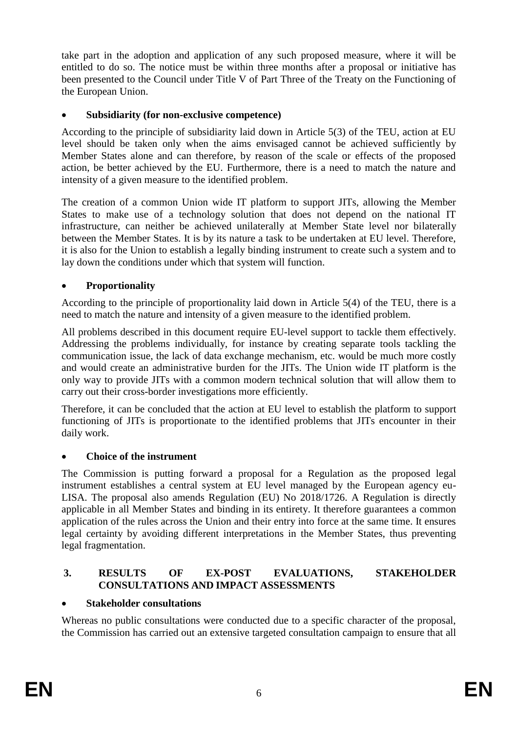take part in the adoption and application of any such proposed measure, where it will be entitled to do so. The notice must be within three months after a proposal or initiative has been presented to the Council under Title V of Part Three of the Treaty on the Functioning of the European Union.

### **Subsidiarity (for non-exclusive competence)**

According to the principle of subsidiarity laid down in Article 5(3) of the TEU, action at EU level should be taken only when the aims envisaged cannot be achieved sufficiently by Member States alone and can therefore, by reason of the scale or effects of the proposed action, be better achieved by the EU. Furthermore, there is a need to match the nature and intensity of a given measure to the identified problem.

The creation of a common Union wide IT platform to support JITs, allowing the Member States to make use of a technology solution that does not depend on the national IT infrastructure, can neither be achieved unilaterally at Member State level nor bilaterally between the Member States. It is by its nature a task to be undertaken at EU level. Therefore, it is also for the Union to establish a legally binding instrument to create such a system and to lay down the conditions under which that system will function.

## **Proportionality**

According to the principle of proportionality laid down in Article 5(4) of the TEU, there is a need to match the nature and intensity of a given measure to the identified problem.

All problems described in this document require EU-level support to tackle them effectively. Addressing the problems individually, for instance by creating separate tools tackling the communication issue, the lack of data exchange mechanism, etc. would be much more costly and would create an administrative burden for the JITs. The Union wide IT platform is the only way to provide JITs with a common modern technical solution that will allow them to carry out their cross-border investigations more efficiently.

Therefore, it can be concluded that the action at EU level to establish the platform to support functioning of JITs is proportionate to the identified problems that JITs encounter in their daily work.

### **Choice of the instrument**

The Commission is putting forward a proposal for a Regulation as the proposed legal instrument establishes a central system at EU level managed by the European agency eu-LISA. The proposal also amends Regulation (EU) No 2018/1726. A Regulation is directly applicable in all Member States and binding in its entirety. It therefore guarantees a common application of the rules across the Union and their entry into force at the same time. It ensures legal certainty by avoiding different interpretations in the Member States, thus preventing legal fragmentation.

### **3. RESULTS OF EX-POST EVALUATIONS, STAKEHOLDER CONSULTATIONS AND IMPACT ASSESSMENTS**

### **Stakeholder consultations**

Whereas no public consultations were conducted due to a specific character of the proposal, the Commission has carried out an extensive targeted consultation campaign to ensure that all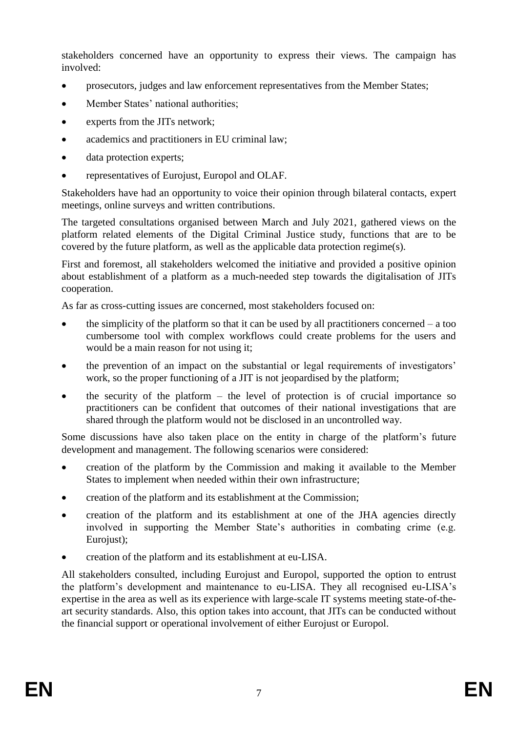stakeholders concerned have an opportunity to express their views. The campaign has involved:

- prosecutors, judges and law enforcement representatives from the Member States;
- Member States' national authorities;
- experts from the JITs network;
- academics and practitioners in EU criminal law;
- data protection experts;
- representatives of Eurojust, Europol and OLAF.

Stakeholders have had an opportunity to voice their opinion through bilateral contacts, expert meetings, online surveys and written contributions.

The targeted consultations organised between March and July 2021, gathered views on the platform related elements of the Digital Criminal Justice study, functions that are to be covered by the future platform, as well as the applicable data protection regime(s).

First and foremost, all stakeholders welcomed the initiative and provided a positive opinion about establishment of a platform as a much-needed step towards the digitalisation of JITs cooperation.

As far as cross-cutting issues are concerned, most stakeholders focused on:

- the simplicity of the platform so that it can be used by all practitioners concerned  $-$  a too cumbersome tool with complex workflows could create problems for the users and would be a main reason for not using it;
- the prevention of an impact on the substantial or legal requirements of investigators' work, so the proper functioning of a JIT is not jeopardised by the platform;
- the security of the platform the level of protection is of crucial importance so practitioners can be confident that outcomes of their national investigations that are shared through the platform would not be disclosed in an uncontrolled way.

Some discussions have also taken place on the entity in charge of the platform's future development and management. The following scenarios were considered:

- creation of the platform by the Commission and making it available to the Member States to implement when needed within their own infrastructure;
- creation of the platform and its establishment at the Commission;
- creation of the platform and its establishment at one of the JHA agencies directly involved in supporting the Member State's authorities in combating crime (e.g. Eurojust);
- creation of the platform and its establishment at eu-LISA.

All stakeholders consulted, including Eurojust and Europol, supported the option to entrust the platform's development and maintenance to eu-LISA. They all recognised eu-LISA's expertise in the area as well as its experience with large-scale IT systems meeting state-of-theart security standards. Also, this option takes into account, that JITs can be conducted without the financial support or operational involvement of either Eurojust or Europol.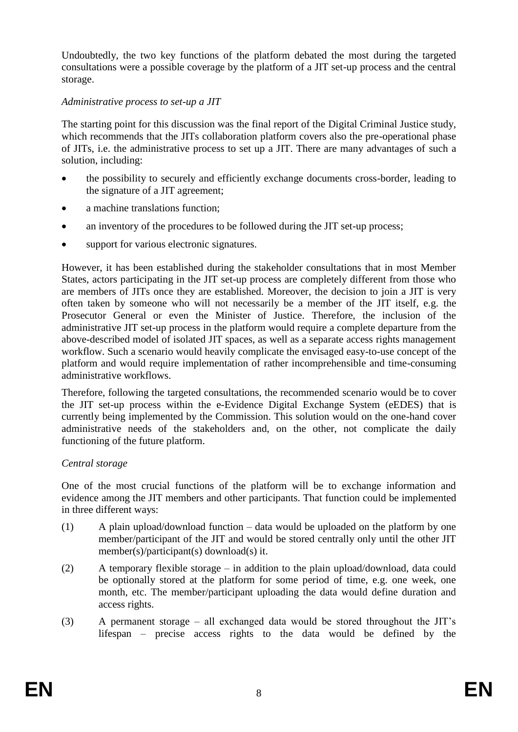Undoubtedly, the two key functions of the platform debated the most during the targeted consultations were a possible coverage by the platform of a JIT set-up process and the central storage.

### *Administrative process to set-up a JIT*

The starting point for this discussion was the final report of the Digital Criminal Justice study, which recommends that the JITs collaboration platform covers also the pre-operational phase of JITs, i.e. the administrative process to set up a JIT. There are many advantages of such a solution, including:

- the possibility to securely and efficiently exchange documents cross-border, leading to the signature of a JIT agreement;
- a machine translations function;
- an inventory of the procedures to be followed during the JIT set-up process:
- support for various electronic signatures.

However, it has been established during the stakeholder consultations that in most Member States, actors participating in the JIT set-up process are completely different from those who are members of JITs once they are established. Moreover, the decision to join a JIT is very often taken by someone who will not necessarily be a member of the JIT itself, e.g. the Prosecutor General or even the Minister of Justice. Therefore, the inclusion of the administrative JIT set-up process in the platform would require a complete departure from the above-described model of isolated JIT spaces, as well as a separate access rights management workflow. Such a scenario would heavily complicate the envisaged easy-to-use concept of the platform and would require implementation of rather incomprehensible and time-consuming administrative workflows.

Therefore, following the targeted consultations, the recommended scenario would be to cover the JIT set-up process within the e-Evidence Digital Exchange System (eEDES) that is currently being implemented by the Commission. This solution would on the one-hand cover administrative needs of the stakeholders and, on the other, not complicate the daily functioning of the future platform.

### *Central storage*

One of the most crucial functions of the platform will be to exchange information and evidence among the JIT members and other participants. That function could be implemented in three different ways:

- (1) A plain upload/download function data would be uploaded on the platform by one member/participant of the JIT and would be stored centrally only until the other JIT member(s)/participant(s) download(s) it.
- (2) A temporary flexible storage in addition to the plain upload/download, data could be optionally stored at the platform for some period of time, e.g. one week, one month, etc. The member/participant uploading the data would define duration and access rights.
- (3) A permanent storage all exchanged data would be stored throughout the JIT's lifespan – precise access rights to the data would be defined by the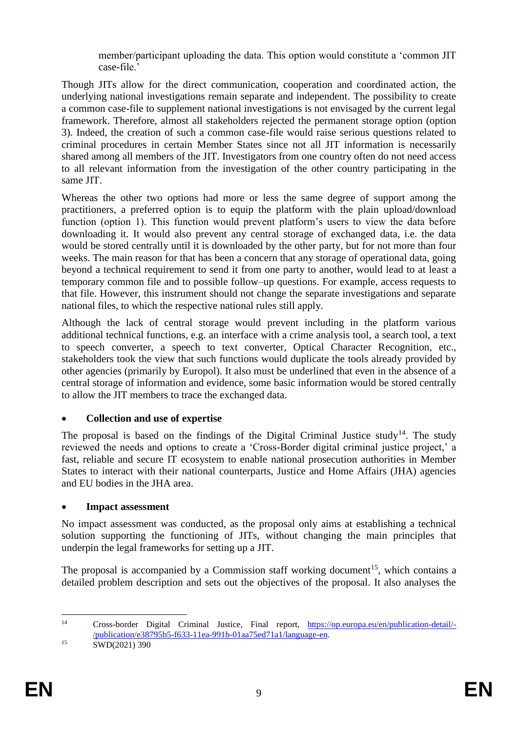member/participant uploading the data. This option would constitute a 'common JIT case-file.'

Though JITs allow for the direct communication, cooperation and coordinated action, the underlying national investigations remain separate and independent. The possibility to create a common case-file to supplement national investigations is not envisaged by the current legal framework. Therefore, almost all stakeholders rejected the permanent storage option (option 3). Indeed, the creation of such a common case-file would raise serious questions related to criminal procedures in certain Member States since not all JIT information is necessarily shared among all members of the JIT. Investigators from one country often do not need access to all relevant information from the investigation of the other country participating in the same JIT.

Whereas the other two options had more or less the same degree of support among the practitioners, a preferred option is to equip the platform with the plain upload/download function (option 1). This function would prevent platform's users to view the data before downloading it. It would also prevent any central storage of exchanged data, i.e. the data would be stored centrally until it is downloaded by the other party, but for not more than four weeks. The main reason for that has been a concern that any storage of operational data, going beyond a technical requirement to send it from one party to another, would lead to at least a temporary common file and to possible follow–up questions. For example, access requests to that file. However, this instrument should not change the separate investigations and separate national files, to which the respective national rules still apply.

Although the lack of central storage would prevent including in the platform various additional technical functions, e.g. an interface with a crime analysis tool, a search tool, a text to speech converter, a speech to text converter, Optical Character Recognition, etc., stakeholders took the view that such functions would duplicate the tools already provided by other agencies (primarily by Europol). It also must be underlined that even in the absence of a central storage of information and evidence, some basic information would be stored centrally to allow the JIT members to trace the exchanged data.

# **Collection and use of expertise**

The proposal is based on the findings of the Digital Criminal Justice study<sup>14</sup>. The study reviewed the needs and options to create a 'Cross-Border digital criminal justice project,' a fast, reliable and secure IT ecosystem to enable national prosecution authorities in Member States to interact with their national counterparts, Justice and Home Affairs (JHA) agencies and EU bodies in the JHA area.

# **Impact assessment**

No impact assessment was conducted, as the proposal only aims at establishing a technical solution supporting the functioning of JITs, without changing the main principles that underpin the legal frameworks for setting up a JIT.

The proposal is accompanied by a Commission staff working document<sup>15</sup>, which contains a detailed problem description and sets out the objectives of the proposal. It also analyses the

 $14$ <sup>14</sup> Cross-border Digital Criminal Justice, Final report, [https://op.europa.eu/en/publication-detail/-](https://op.europa.eu/en/publication-detail/-/publication/e38795b5-f633-11ea-991b-01aa75ed71a1/language-en) [/publication/e38795b5-f633-11ea-991b-01aa75ed71a1/language-en.](https://op.europa.eu/en/publication-detail/-/publication/e38795b5-f633-11ea-991b-01aa75ed71a1/language-en)

<sup>15</sup> **SWD(2021) 390**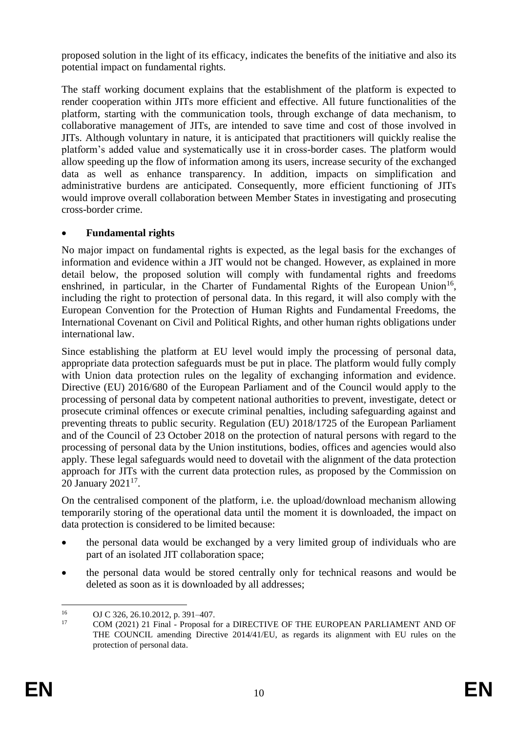proposed solution in the light of its efficacy, indicates the benefits of the initiative and also its potential impact on fundamental rights.

The staff working document explains that the establishment of the platform is expected to render cooperation within JITs more efficient and effective. All future functionalities of the platform, starting with the communication tools, through exchange of data mechanism, to collaborative management of JITs, are intended to save time and cost of those involved in JITs. Although voluntary in nature, it is anticipated that practitioners will quickly realise the platform's added value and systematically use it in cross-border cases. The platform would allow speeding up the flow of information among its users, increase security of the exchanged data as well as enhance transparency. In addition, impacts on simplification and administrative burdens are anticipated. Consequently, more efficient functioning of JITs would improve overall collaboration between Member States in investigating and prosecuting cross-border crime.

## **Fundamental rights**

No major impact on fundamental rights is expected, as the legal basis for the exchanges of information and evidence within a JIT would not be changed. However, as explained in more detail below, the proposed solution will comply with fundamental rights and freedoms enshrined, in particular, in the Charter of Fundamental Rights of the European Union<sup>16</sup>, including the right to protection of personal data. In this regard, it will also comply with the European Convention for the Protection of Human Rights and Fundamental Freedoms, the International Covenant on Civil and Political Rights, and other human rights obligations under international law.

Since establishing the platform at EU level would imply the processing of personal data, appropriate data protection safeguards must be put in place. The platform would fully comply with Union data protection rules on the legality of exchanging information and evidence. Directive (EU) 2016/680 of the European Parliament and of the Council would apply to the processing of personal data by competent national authorities to prevent, investigate, detect or prosecute criminal offences or execute criminal penalties, including safeguarding against and preventing threats to public security. Regulation (EU) 2018/1725 of the European Parliament and of the Council of 23 October 2018 on the protection of natural persons with regard to the processing of personal data by the Union institutions, bodies, offices and agencies would also apply. These legal safeguards would need to dovetail with the alignment of the data protection approach for JITs with the current data protection rules, as proposed by the Commission on 20 January 2021<sup>17</sup>.

On the centralised component of the platform, i.e. the upload/download mechanism allowing temporarily storing of the operational data until the moment it is downloaded, the impact on data protection is considered to be limited because:

- the personal data would be exchanged by a very limited group of individuals who are part of an isolated JIT collaboration space;
- the personal data would be stored centrally only for technical reasons and would be deleted as soon as it is downloaded by all addresses;

 $16$ <sup>16</sup> OJ C 326, 26.10.2012, p. 391–407.

<sup>17</sup> COM (2021) 21 Final - Proposal for a DIRECTIVE OF THE EUROPEAN PARLIAMENT AND OF THE COUNCIL amending Directive 2014/41/EU, as regards its alignment with EU rules on the protection of personal data.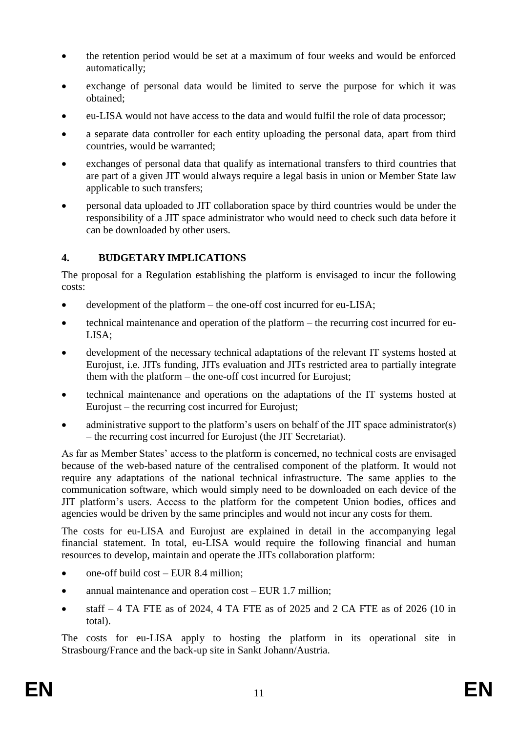- the retention period would be set at a maximum of four weeks and would be enforced automatically;
- exchange of personal data would be limited to serve the purpose for which it was obtained;
- eu-LISA would not have access to the data and would fulfil the role of data processor;
- a separate data controller for each entity uploading the personal data, apart from third countries, would be warranted;
- exchanges of personal data that qualify as international transfers to third countries that are part of a given JIT would always require a legal basis in union or Member State law applicable to such transfers;
- personal data uploaded to JIT collaboration space by third countries would be under the responsibility of a JIT space administrator who would need to check such data before it can be downloaded by other users.

# **4. BUDGETARY IMPLICATIONS**

The proposal for a Regulation establishing the platform is envisaged to incur the following costs:

- development of the platform the one-off cost incurred for eu-LISA;
- technical maintenance and operation of the platform the recurring cost incurred for eu-LISA;
- development of the necessary technical adaptations of the relevant IT systems hosted at Eurojust, i.e. JITs funding, JITs evaluation and JITs restricted area to partially integrate them with the platform – the one-off cost incurred for Eurojust;
- technical maintenance and operations on the adaptations of the IT systems hosted at Eurojust – the recurring cost incurred for Eurojust;
- administrative support to the platform's users on behalf of the JIT space administrator(s) – the recurring cost incurred for Eurojust (the JIT Secretariat).

As far as Member States' access to the platform is concerned, no technical costs are envisaged because of the web-based nature of the centralised component of the platform. It would not require any adaptations of the national technical infrastructure. The same applies to the communication software, which would simply need to be downloaded on each device of the JIT platform's users. Access to the platform for the competent Union bodies, offices and agencies would be driven by the same principles and would not incur any costs for them.

The costs for eu-LISA and Eurojust are explained in detail in the accompanying legal financial statement. In total, eu-LISA would require the following financial and human resources to develop, maintain and operate the JITs collaboration platform:

- one-off build cost EUR 8.4 million;
- annual maintenance and operation cost EUR 1.7 million;
- $\bullet$  staff 4 TA FTE as of 2024, 4 TA FTE as of 2025 and 2 CA FTE as of 2026 (10 in total).

The costs for eu-LISA apply to hosting the platform in its operational site in Strasbourg/France and the back-up site in Sankt Johann/Austria.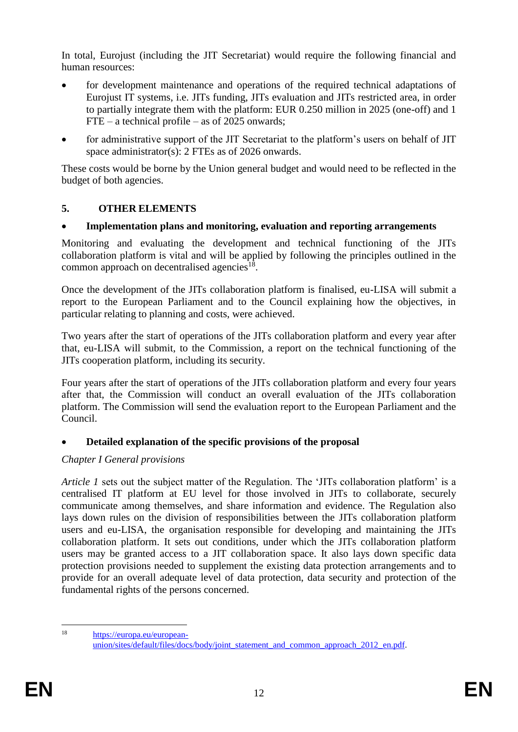In total, Eurojust (including the JIT Secretariat) would require the following financial and human resources:

- for development maintenance and operations of the required technical adaptations of Eurojust IT systems, i.e. JITs funding, JITs evaluation and JITs restricted area, in order to partially integrate them with the platform: EUR 0.250 million in 2025 (one-off) and 1  $FTE - a technical profile - as of 2025 onwards:$
- for administrative support of the JIT Secretariat to the platform's users on behalf of JIT space administrator(s): 2 FTEs as of 2026 onwards.

These costs would be borne by the Union general budget and would need to be reflected in the budget of both agencies.

## **5. OTHER ELEMENTS**

## **Implementation plans and monitoring, evaluation and reporting arrangements**

Monitoring and evaluating the development and technical functioning of the JITs collaboration platform is vital and will be applied by following the principles outlined in the common approach on decentralised agencies<sup>18</sup>.

Once the development of the JITs collaboration platform is finalised, eu-LISA will submit a report to the European Parliament and to the Council explaining how the objectives, in particular relating to planning and costs, were achieved.

Two years after the start of operations of the JITs collaboration platform and every year after that, eu-LISA will submit, to the Commission, a report on the technical functioning of the JITs cooperation platform, including its security.

Four years after the start of operations of the JITs collaboration platform and every four years after that, the Commission will conduct an overall evaluation of the JITs collaboration platform. The Commission will send the evaluation report to the European Parliament and the Council.

# **Detailed explanation of the specific provisions of the proposal**

# *Chapter I General provisions*

*Article 1* sets out the subject matter of the Regulation. The 'JITs collaboration platform' is a centralised IT platform at EU level for those involved in JITs to collaborate, securely communicate among themselves, and share information and evidence. The Regulation also lays down rules on the division of responsibilities between the JITs collaboration platform users and eu-LISA, the organisation responsible for developing and maintaining the JITs collaboration platform. It sets out conditions, under which the JITs collaboration platform users may be granted access to a JIT collaboration space. It also lays down specific data protection provisions needed to supplement the existing data protection arrangements and to provide for an overall adequate level of data protection, data security and protection of the fundamental rights of the persons concerned.

 $18$ 

[https://europa.eu/european](https://europa.eu/european-union/sites/default/files/docs/body/joint_statement_and_common_approach_2012_en.pdf)union/sites/default/files/docs/body/joint\_statement\_and\_common\_approach\_2012\_en.pdf.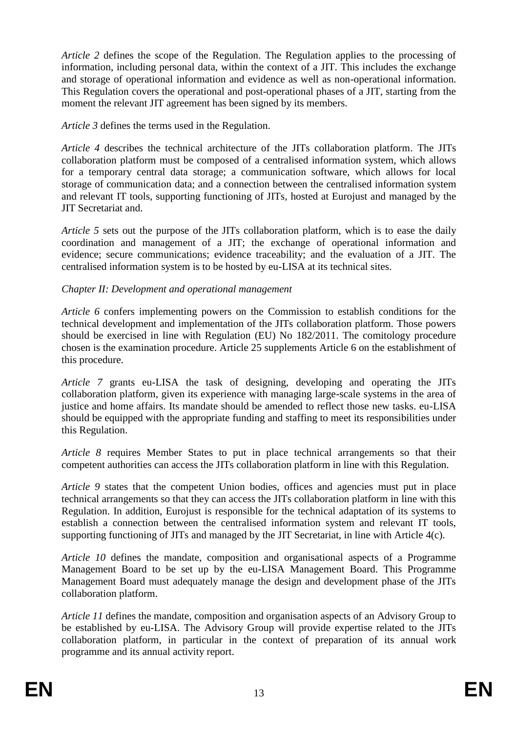*Article 2* defines the scope of the Regulation. The Regulation applies to the processing of information, including personal data, within the context of a JIT. This includes the exchange and storage of operational information and evidence as well as non-operational information. This Regulation covers the operational and post-operational phases of a JIT, starting from the moment the relevant JIT agreement has been signed by its members.

*Article 3* defines the terms used in the Regulation.

*Article 4* describes the technical architecture of the JITs collaboration platform. The JITs collaboration platform must be composed of a centralised information system, which allows for a temporary central data storage; a communication software, which allows for local storage of communication data; and a connection between the centralised information system and relevant IT tools, supporting functioning of JITs, hosted at Eurojust and managed by the JIT Secretariat and.

*Article 5* sets out the purpose of the JITs collaboration platform, which is to ease the daily coordination and management of a JIT; the exchange of operational information and evidence; secure communications; evidence traceability; and the evaluation of a JIT. The centralised information system is to be hosted by eu-LISA at its technical sites.

### *Chapter II: Development and operational management*

*Article 6* confers implementing powers on the Commission to establish conditions for the technical development and implementation of the JITs collaboration platform. Those powers should be exercised in line with Regulation (EU) No 182/2011. The comitology procedure chosen is the examination procedure. Article 25 supplements Article 6 on the establishment of this procedure.

*Article 7* grants eu-LISA the task of designing, developing and operating the JITs collaboration platform, given its experience with managing large-scale systems in the area of justice and home affairs. Its mandate should be amended to reflect those new tasks, eu-LISA should be equipped with the appropriate funding and staffing to meet its responsibilities under this Regulation.

*Article 8* requires Member States to put in place technical arrangements so that their competent authorities can access the JITs collaboration platform in line with this Regulation.

*Article 9* states that the competent Union bodies, offices and agencies must put in place technical arrangements so that they can access the JITs collaboration platform in line with this Regulation. In addition, Eurojust is responsible for the technical adaptation of its systems to establish a connection between the centralised information system and relevant IT tools, supporting functioning of JITs and managed by the JIT Secretariat, in line with Article 4(c).

*Article 10* defines the mandate, composition and organisational aspects of a Programme Management Board to be set up by the eu-LISA Management Board. This Programme Management Board must adequately manage the design and development phase of the JITs collaboration platform.

*Article 11* defines the mandate, composition and organisation aspects of an Advisory Group to be established by eu-LISA. The Advisory Group will provide expertise related to the JITs collaboration platform, in particular in the context of preparation of its annual work programme and its annual activity report.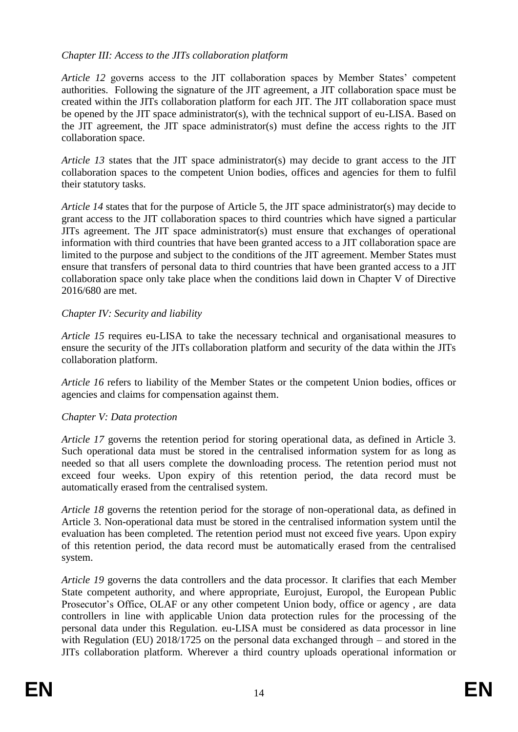### *Chapter III: Access to the JITs collaboration platform*

*Article 12* governs access to the JIT collaboration spaces by Member States' competent authorities. Following the signature of the JIT agreement, a JIT collaboration space must be created within the JITs collaboration platform for each JIT. The JIT collaboration space must be opened by the JIT space administrator(s), with the technical support of eu-LISA. Based on the JIT agreement, the JIT space administrator(s) must define the access rights to the JIT collaboration space.

*Article 13* states that the JIT space administrator(s) may decide to grant access to the JIT collaboration spaces to the competent Union bodies, offices and agencies for them to fulfil their statutory tasks.

*Article 14* states that for the purpose of Article 5, the JIT space administrator(s) may decide to grant access to the JIT collaboration spaces to third countries which have signed a particular JITs agreement. The JIT space administrator(s) must ensure that exchanges of operational information with third countries that have been granted access to a JIT collaboration space are limited to the purpose and subject to the conditions of the JIT agreement. Member States must ensure that transfers of personal data to third countries that have been granted access to a JIT collaboration space only take place when the conditions laid down in Chapter V of Directive 2016/680 are met.

#### *Chapter IV: Security and liability*

*Article 15* requires eu-LISA to take the necessary technical and organisational measures to ensure the security of the JITs collaboration platform and security of the data within the JITs collaboration platform.

*Article 16* refers to liability of the Member States or the competent Union bodies, offices or agencies and claims for compensation against them.

#### *Chapter V: Data protection*

*Article 17* governs the retention period for storing operational data, as defined in Article 3. Such operational data must be stored in the centralised information system for as long as needed so that all users complete the downloading process. The retention period must not exceed four weeks. Upon expiry of this retention period, the data record must be automatically erased from the centralised system.

*Article 18* governs the retention period for the storage of non-operational data, as defined in Article 3. Non-operational data must be stored in the centralised information system until the evaluation has been completed. The retention period must not exceed five years. Upon expiry of this retention period, the data record must be automatically erased from the centralised system.

*Article 19* governs the data controllers and the data processor. It clarifies that each Member State competent authority, and where appropriate, Eurojust, Europol, the European Public Prosecutor's Office, OLAF or any other competent Union body, office or agency, are data controllers in line with applicable Union data protection rules for the processing of the personal data under this Regulation. eu-LISA must be considered as data processor in line with Regulation (EU) 2018/1725 on the personal data exchanged through – and stored in the JITs collaboration platform. Wherever a third country uploads operational information or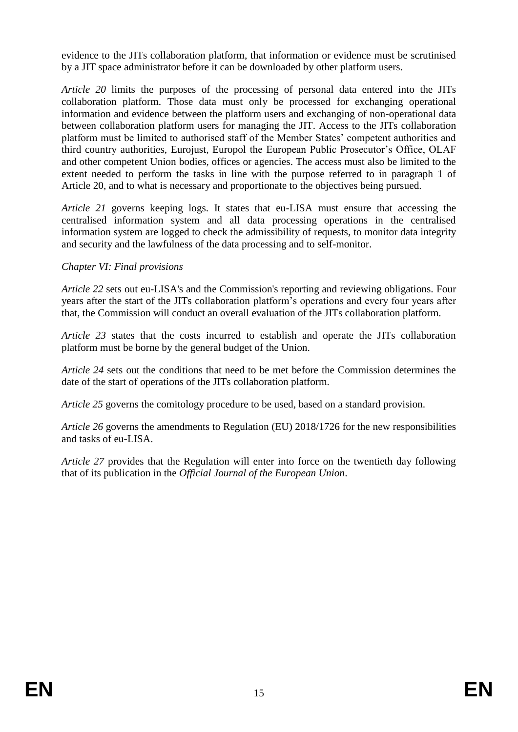evidence to the JITs collaboration platform, that information or evidence must be scrutinised by a JIT space administrator before it can be downloaded by other platform users.

*Article 20* limits the purposes of the processing of personal data entered into the JITs collaboration platform. Those data must only be processed for exchanging operational information and evidence between the platform users and exchanging of non-operational data between collaboration platform users for managing the JIT. Access to the JITs collaboration platform must be limited to authorised staff of the Member States' competent authorities and third country authorities, Eurojust, Europol the European Public Prosecutor's Office, OLAF and other competent Union bodies, offices or agencies. The access must also be limited to the extent needed to perform the tasks in line with the purpose referred to in paragraph 1 of Article 20, and to what is necessary and proportionate to the objectives being pursued.

*Article 21* governs keeping logs. It states that eu-LISA must ensure that accessing the centralised information system and all data processing operations in the centralised information system are logged to check the admissibility of requests, to monitor data integrity and security and the lawfulness of the data processing and to self-monitor.

### *Chapter VI: Final provisions*

*Article 22* sets out eu-LISA's and the Commission's reporting and reviewing obligations. Four years after the start of the JITs collaboration platform's operations and every four years after that, the Commission will conduct an overall evaluation of the JITs collaboration platform.

*Article 23* states that the costs incurred to establish and operate the JITs collaboration platform must be borne by the general budget of the Union.

*Article 24* sets out the conditions that need to be met before the Commission determines the date of the start of operations of the JITs collaboration platform.

*Article 25* governs the comitology procedure to be used, based on a standard provision.

*Article 26* governs the amendments to Regulation (EU) 2018/1726 for the new responsibilities and tasks of eu-LISA.

*Article 27* provides that the Regulation will enter into force on the twentieth day following that of its publication in the *Official Journal of the European Union*.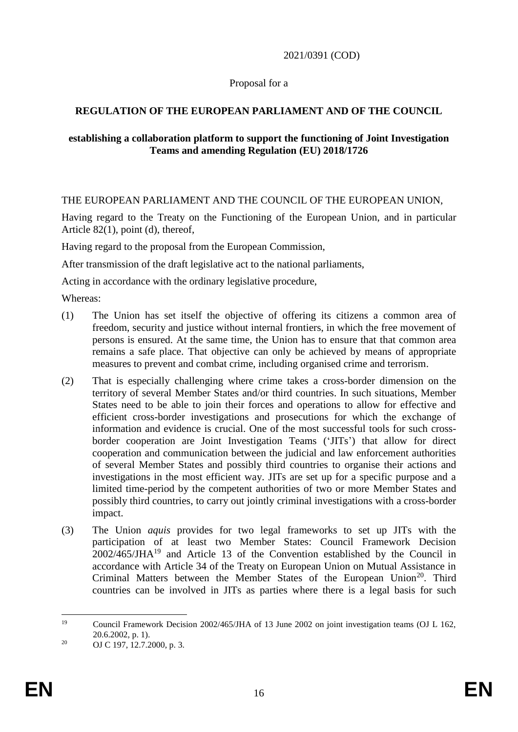### 2021/0391 (COD)

### Proposal for a

### **REGULATION OF THE EUROPEAN PARLIAMENT AND OF THE COUNCIL**

#### **establishing a collaboration platform to support the functioning of Joint Investigation Teams and amending Regulation (EU) 2018/1726**

### THE EUROPEAN PARLIAMENT AND THE COUNCIL OF THE EUROPEAN UNION,

Having regard to the Treaty on the Functioning of the European Union, and in particular Article 82(1), point (d), thereof,

Having regard to the proposal from the European Commission,

After transmission of the draft legislative act to the national parliaments,

Acting in accordance with the ordinary legislative procedure,

Whereas:

- (1) The Union has set itself the objective of offering its citizens a common area of freedom, security and justice without internal frontiers, in which the free movement of persons is ensured. At the same time, the Union has to ensure that that common area remains a safe place. That objective can only be achieved by means of appropriate measures to prevent and combat crime, including organised crime and terrorism.
- (2) That is especially challenging where crime takes a cross-border dimension on the territory of several Member States and/or third countries. In such situations, Member States need to be able to join their forces and operations to allow for effective and efficient cross-border investigations and prosecutions for which the exchange of information and evidence is crucial. One of the most successful tools for such crossborder cooperation are Joint Investigation Teams ('JITs') that allow for direct cooperation and communication between the judicial and law enforcement authorities of several Member States and possibly third countries to organise their actions and investigations in the most efficient way. JITs are set up for a specific purpose and a limited time-period by the competent authorities of two or more Member States and possibly third countries, to carry out jointly criminal investigations with a cross-border impact.
- (3) The Union *aquis* provides for two legal frameworks to set up JITs with the participation of at least two Member States: Council Framework Decision 2002/465/JHA<sup>19</sup> and Article 13 of the Convention established by the Council in accordance with Article 34 of the Treaty on European Union on Mutual Assistance in Criminal Matters between the Member States of the European Union<sup>20</sup>. Third countries can be involved in JITs as parties where there is a legal basis for such

<sup>19</sup> <sup>19</sup> Council Framework Decision 2002/465/JHA of 13 June 2002 on joint investigation teams (OJ L 162, 20.6.2002, p. 1).

<sup>&</sup>lt;sup>20</sup> OJ C 197, 12.7.2000, p. 3.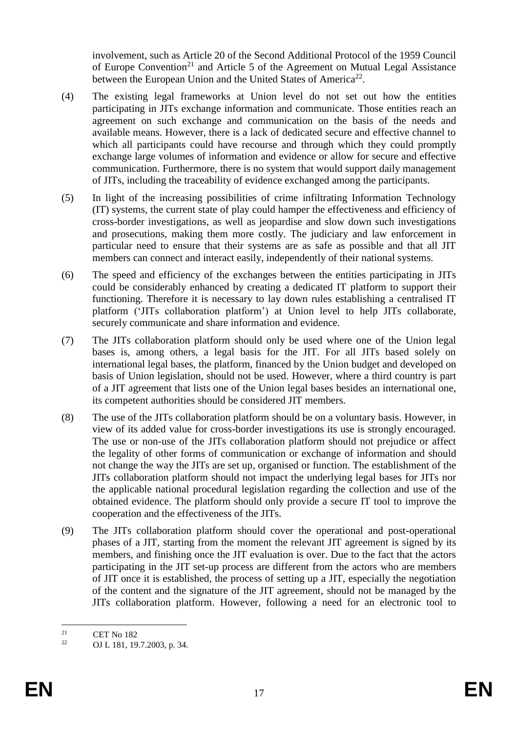involvement, such as Article 20 of the Second Additional Protocol of the 1959 Council of Europe Convention<sup>21</sup> and Article 5 of the Agreement on Mutual Legal Assistance between the European Union and the United States of America<sup>22</sup>.

- (4) The existing legal frameworks at Union level do not set out how the entities participating in JITs exchange information and communicate. Those entities reach an agreement on such exchange and communication on the basis of the needs and available means. However, there is a lack of dedicated secure and effective channel to which all participants could have recourse and through which they could promptly exchange large volumes of information and evidence or allow for secure and effective communication. Furthermore, there is no system that would support daily management of JITs, including the traceability of evidence exchanged among the participants.
- (5) In light of the increasing possibilities of crime infiltrating Information Technology (IT) systems, the current state of play could hamper the effectiveness and efficiency of cross-border investigations, as well as jeopardise and slow down such investigations and prosecutions, making them more costly. The judiciary and law enforcement in particular need to ensure that their systems are as safe as possible and that all JIT members can connect and interact easily, independently of their national systems.
- (6) The speed and efficiency of the exchanges between the entities participating in JITs could be considerably enhanced by creating a dedicated IT platform to support their functioning. Therefore it is necessary to lay down rules establishing a centralised IT platform ('JITs collaboration platform') at Union level to help JITs collaborate, securely communicate and share information and evidence.
- (7) The JITs collaboration platform should only be used where one of the Union legal bases is, among others, a legal basis for the JIT. For all JITs based solely on international legal bases, the platform, financed by the Union budget and developed on basis of Union legislation, should not be used. However, where a third country is part of a JIT agreement that lists one of the Union legal bases besides an international one, its competent authorities should be considered JIT members.
- (8) The use of the JITs collaboration platform should be on a voluntary basis. However, in view of its added value for cross-border investigations its use is strongly encouraged. The use or non-use of the JITs collaboration platform should not prejudice or affect the legality of other forms of communication or exchange of information and should not change the way the JITs are set up, organised or function. The establishment of the JITs collaboration platform should not impact the underlying legal bases for JITs nor the applicable national procedural legislation regarding the collection and use of the obtained evidence. The platform should only provide a secure IT tool to improve the cooperation and the effectiveness of the JITs.
- (9) The JITs collaboration platform should cover the operational and post-operational phases of a JIT, starting from the moment the relevant JIT agreement is signed by its members, and finishing once the JIT evaluation is over. Due to the fact that the actors participating in the JIT set-up process are different from the actors who are members of JIT once it is established, the process of setting up a JIT, especially the negotiation of the content and the signature of the JIT agreement, should not be managed by the JITs collaboration platform. However, following a need for an electronic tool to

 $21$  $\frac{21}{22}$  CET No 182

<sup>22</sup> OJ L 181, 19.7.2003, p. 34.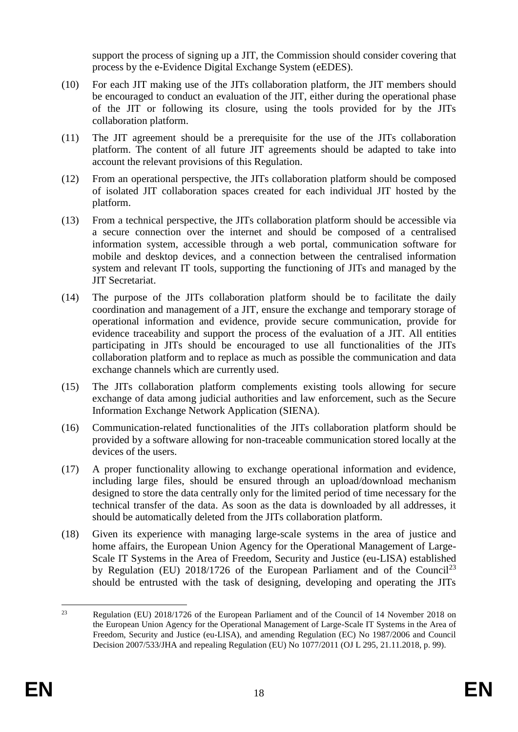support the process of signing up a JIT, the Commission should consider covering that process by the e-Evidence Digital Exchange System (eEDES).

- (10) For each JIT making use of the JITs collaboration platform, the JIT members should be encouraged to conduct an evaluation of the JIT, either during the operational phase of the JIT or following its closure, using the tools provided for by the JITs collaboration platform.
- (11) The JIT agreement should be a prerequisite for the use of the JITs collaboration platform. The content of all future JIT agreements should be adapted to take into account the relevant provisions of this Regulation.
- (12) From an operational perspective, the JITs collaboration platform should be composed of isolated JIT collaboration spaces created for each individual JIT hosted by the platform.
- (13) From a technical perspective, the JITs collaboration platform should be accessible via a secure connection over the internet and should be composed of a centralised information system, accessible through a web portal, communication software for mobile and desktop devices, and a connection between the centralised information system and relevant IT tools, supporting the functioning of JITs and managed by the JIT Secretariat.
- (14) The purpose of the JITs collaboration platform should be to facilitate the daily coordination and management of a JIT, ensure the exchange and temporary storage of operational information and evidence, provide secure communication, provide for evidence traceability and support the process of the evaluation of a JIT. All entities participating in JITs should be encouraged to use all functionalities of the JITs collaboration platform and to replace as much as possible the communication and data exchange channels which are currently used.
- (15) The JITs collaboration platform complements existing tools allowing for secure exchange of data among judicial authorities and law enforcement, such as the Secure Information Exchange Network Application (SIENA).
- (16) Communication-related functionalities of the JITs collaboration platform should be provided by a software allowing for non-traceable communication stored locally at the devices of the users.
- (17) A proper functionality allowing to exchange operational information and evidence, including large files, should be ensured through an upload/download mechanism designed to store the data centrally only for the limited period of time necessary for the technical transfer of the data. As soon as the data is downloaded by all addresses, it should be automatically deleted from the JITs collaboration platform.
- (18) Given its experience with managing large-scale systems in the area of justice and home affairs, the European Union Agency for the Operational Management of Large-Scale IT Systems in the Area of Freedom, Security and Justice (eu-LISA) established by Regulation (EU)  $2018/1726$  of the European Parliament and of the Council<sup>23</sup> should be entrusted with the task of designing, developing and operating the JITs

 $23$ <sup>23</sup> Regulation (EU) 2018/1726 of the European Parliament and of the Council of 14 November 2018 on the European Union Agency for the Operational Management of Large-Scale IT Systems in the Area of Freedom, Security and Justice (eu-LISA), and amending Regulation (EC) No 1987/2006 and Council Decision 2007/533/JHA and repealing Regulation (EU) No 1077/2011 (OJ L 295, 21.11.2018, p. 99).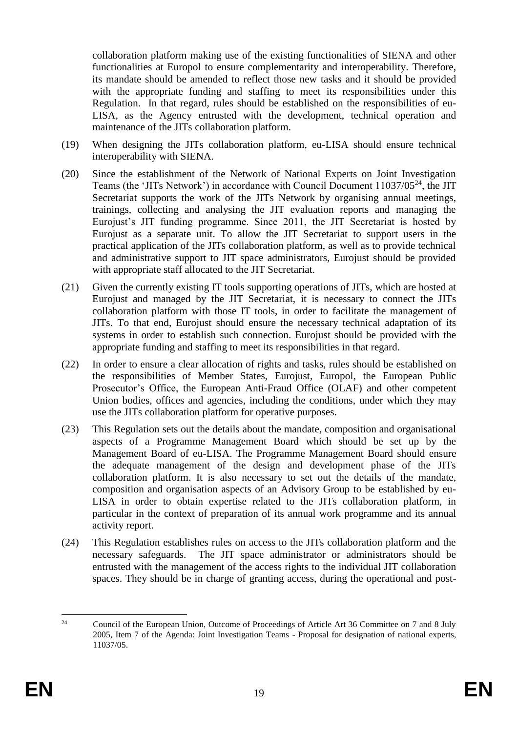collaboration platform making use of the existing functionalities of SIENA and other functionalities at Europol to ensure complementarity and interoperability. Therefore, its mandate should be amended to reflect those new tasks and it should be provided with the appropriate funding and staffing to meet its responsibilities under this Regulation. In that regard, rules should be established on the responsibilities of eu-LISA, as the Agency entrusted with the development, technical operation and maintenance of the JITs collaboration platform.

- (19) When designing the JITs collaboration platform, eu-LISA should ensure technical interoperability with SIENA.
- (20) Since the establishment of the Network of National Experts on Joint Investigation Teams (the 'JITs Network') in accordance with Council Document 11037/05<sup>24</sup>, the JIT Secretariat supports the work of the JITs Network by organising annual meetings, trainings, collecting and analysing the JIT evaluation reports and managing the Eurojust's JIT funding programme. Since 2011, the JIT Secretariat is hosted by Eurojust as a separate unit. To allow the JIT Secretariat to support users in the practical application of the JITs collaboration platform, as well as to provide technical and administrative support to JIT space administrators, Eurojust should be provided with appropriate staff allocated to the JIT Secretariat.
- (21) Given the currently existing IT tools supporting operations of JITs, which are hosted at Eurojust and managed by the JIT Secretariat, it is necessary to connect the JITs collaboration platform with those IT tools, in order to facilitate the management of JITs. To that end, Eurojust should ensure the necessary technical adaptation of its systems in order to establish such connection. Eurojust should be provided with the appropriate funding and staffing to meet its responsibilities in that regard.
- (22) In order to ensure a clear allocation of rights and tasks, rules should be established on the responsibilities of Member States, Eurojust, Europol, the European Public Prosecutor's Office, the European Anti-Fraud Office (OLAF) and other competent Union bodies, offices and agencies, including the conditions, under which they may use the JITs collaboration platform for operative purposes.
- (23) This Regulation sets out the details about the mandate, composition and organisational aspects of a Programme Management Board which should be set up by the Management Board of eu-LISA. The Programme Management Board should ensure the adequate management of the design and development phase of the JITs collaboration platform. It is also necessary to set out the details of the mandate, composition and organisation aspects of an Advisory Group to be established by eu-LISA in order to obtain expertise related to the JITs collaboration platform, in particular in the context of preparation of its annual work programme and its annual activity report.
- (24) This Regulation establishes rules on access to the JITs collaboration platform and the necessary safeguards. The JIT space administrator or administrators should be entrusted with the management of the access rights to the individual JIT collaboration spaces. They should be in charge of granting access, during the operational and post-

 $24$ <sup>24</sup> Council of the European Union, Outcome of Proceedings of Article Art 36 Committee on 7 and 8 July 2005, Item 7 of the Agenda: Joint Investigation Teams - Proposal for designation of national experts, 11037/05.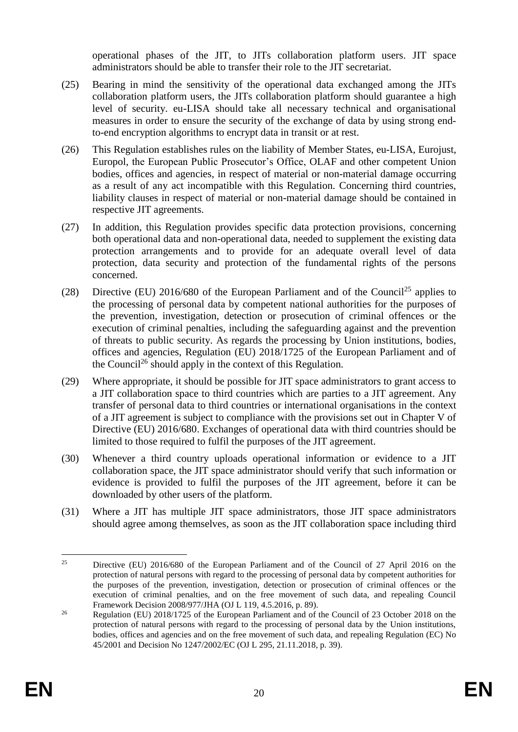operational phases of the JIT, to JITs collaboration platform users. JIT space administrators should be able to transfer their role to the JIT secretariat.

- (25) Bearing in mind the sensitivity of the operational data exchanged among the JITs collaboration platform users, the JITs collaboration platform should guarantee a high level of security. eu-LISA should take all necessary technical and organisational measures in order to ensure the security of the exchange of data by using strong endto-end encryption algorithms to encrypt data in transit or at rest.
- (26) This Regulation establishes rules on the liability of Member States, eu-LISA, Eurojust, Europol, the European Public Prosecutor's Office, OLAF and other competent Union bodies, offices and agencies, in respect of material or non-material damage occurring as a result of any act incompatible with this Regulation. Concerning third countries, liability clauses in respect of material or non-material damage should be contained in respective JIT agreements.
- (27) In addition, this Regulation provides specific data protection provisions, concerning both operational data and non-operational data, needed to supplement the existing data protection arrangements and to provide for an adequate overall level of data protection, data security and protection of the fundamental rights of the persons concerned.
- (28) Directive (EU) 2016/680 of the European Parliament and of the Council<sup>25</sup> applies to the processing of personal data by competent national authorities for the purposes of the prevention, investigation, detection or prosecution of criminal offences or the execution of criminal penalties, including the safeguarding against and the prevention of threats to public security. As regards the processing by Union institutions, bodies, offices and agencies, Regulation (EU) 2018/1725 of the European Parliament and of the Council<sup>26</sup> should apply in the context of this Regulation.
- (29) Where appropriate, it should be possible for JIT space administrators to grant access to a JIT collaboration space to third countries which are parties to a JIT agreement. Any transfer of personal data to third countries or international organisations in the context of a JIT agreement is subject to compliance with the provisions set out in Chapter V of Directive (EU) 2016/680. Exchanges of operational data with third countries should be limited to those required to fulfil the purposes of the JIT agreement.
- (30) Whenever a third country uploads operational information or evidence to a JIT collaboration space, the JIT space administrator should verify that such information or evidence is provided to fulfil the purposes of the JIT agreement, before it can be downloaded by other users of the platform.
- (31) Where a JIT has multiple JIT space administrators, those JIT space administrators should agree among themselves, as soon as the JIT collaboration space including third

 $25$ <sup>25</sup> Directive (EU) 2016/680 of the European Parliament and of the Council of 27 April 2016 on the protection of natural persons with regard to the processing of personal data by competent authorities for the purposes of the prevention, investigation, detection or prosecution of criminal offences or the execution of criminal penalties, and on the free movement of such data, and repealing Council Framework Decision 2008/977/JHA (OJ L 119, 4.5.2016, p. 89).

<sup>&</sup>lt;sup>26</sup> Regulation (EU) 2018/1725 of the European Parliament and of the Council of 23 October 2018 on the protection of natural persons with regard to the processing of personal data by the Union institutions, bodies, offices and agencies and on the free movement of such data, and repealing Regulation (EC) No 45/2001 and Decision No 1247/2002/EC (OJ L 295, 21.11.2018, p. 39).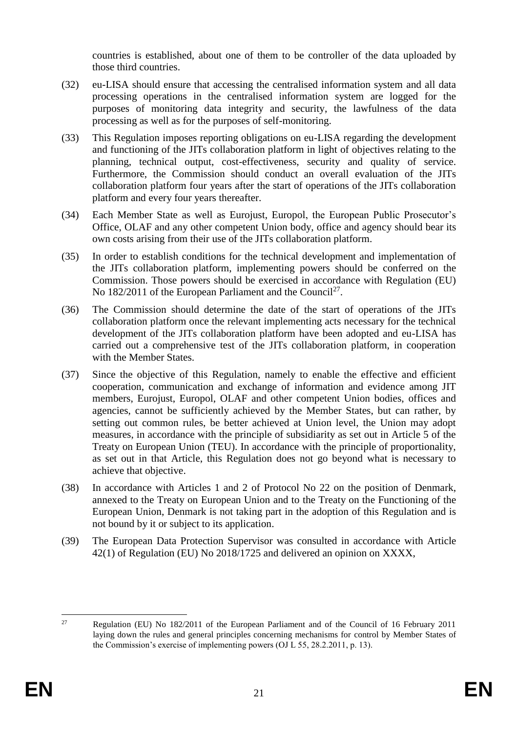countries is established, about one of them to be controller of the data uploaded by those third countries.

- (32) eu-LISA should ensure that accessing the centralised information system and all data processing operations in the centralised information system are logged for the purposes of monitoring data integrity and security, the lawfulness of the data processing as well as for the purposes of self-monitoring.
- (33) This Regulation imposes reporting obligations on eu-LISA regarding the development and functioning of the JITs collaboration platform in light of objectives relating to the planning, technical output, cost-effectiveness, security and quality of service. Furthermore, the Commission should conduct an overall evaluation of the JITs collaboration platform four years after the start of operations of the JITs collaboration platform and every four years thereafter.
- (34) Each Member State as well as Eurojust, Europol, the European Public Prosecutor's Office, OLAF and any other competent Union body, office and agency should bear its own costs arising from their use of the JITs collaboration platform.
- (35) In order to establish conditions for the technical development and implementation of the JITs collaboration platform, implementing powers should be conferred on the Commission. Those powers should be exercised in accordance with Regulation (EU) No 182/2011 of the European Parliament and the Council<sup>27</sup>.
- (36) The Commission should determine the date of the start of operations of the JITs collaboration platform once the relevant implementing acts necessary for the technical development of the JITs collaboration platform have been adopted and eu-LISA has carried out a comprehensive test of the JITs collaboration platform, in cooperation with the Member States.
- (37) Since the objective of this Regulation, namely to enable the effective and efficient cooperation, communication and exchange of information and evidence among JIT members, Eurojust, Europol, OLAF and other competent Union bodies, offices and agencies, cannot be sufficiently achieved by the Member States, but can rather, by setting out common rules, be better achieved at Union level, the Union may adopt measures, in accordance with the principle of subsidiarity as set out in Article 5 of the Treaty on European Union (TEU). In accordance with the principle of proportionality, as set out in that Article, this Regulation does not go beyond what is necessary to achieve that objective.
- (38) In accordance with Articles 1 and 2 of Protocol No 22 on the position of Denmark, annexed to the Treaty on European Union and to the Treaty on the Functioning of the European Union, Denmark is not taking part in the adoption of this Regulation and is not bound by it or subject to its application.
- (39) The European Data Protection Supervisor was consulted in accordance with Article 42(1) of Regulation (EU) No 2018/1725 and delivered an opinion on XXXX,

<sup>27</sup> <sup>27</sup> Regulation (EU) No 182/2011 of the European Parliament and of the Council of 16 February 2011 laying down the rules and general principles concerning mechanisms for control by Member States of the Commission's exercise of implementing powers (OJ L 55, 28.2.2011, p. 13).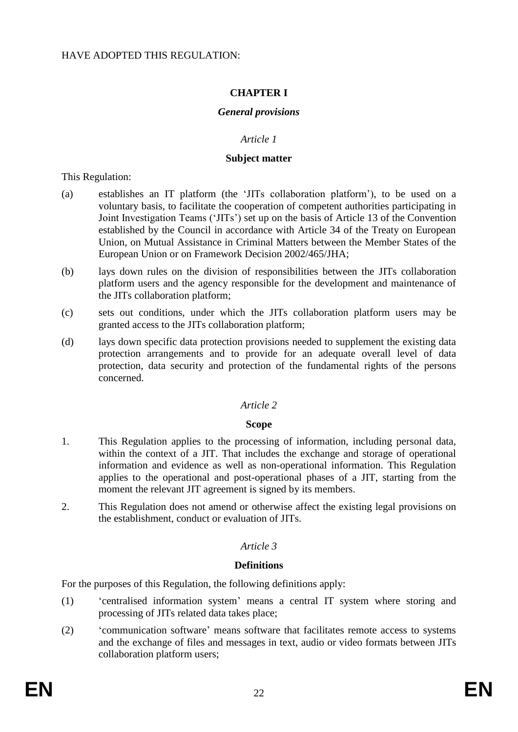### **CHAPTER I**

#### *General provisions*

### *Article 1*

#### **Subject matter**

This Regulation:

- (a) establishes an IT platform (the 'JITs collaboration platform'), to be used on a voluntary basis, to facilitate the cooperation of competent authorities participating in Joint Investigation Teams ('JITs') set up on the basis of Article 13 of the Convention established by the Council in accordance with Article 34 of the Treaty on European Union, on Mutual Assistance in Criminal Matters between the Member States of the European Union or on Framework Decision 2002/465/JHA;
- (b) lays down rules on the division of responsibilities between the JITs collaboration platform users and the agency responsible for the development and maintenance of the JITs collaboration platform;
- (c) sets out conditions, under which the JITs collaboration platform users may be granted access to the JITs collaboration platform;
- (d) lays down specific data protection provisions needed to supplement the existing data protection arrangements and to provide for an adequate overall level of data protection, data security and protection of the fundamental rights of the persons concerned.

### *Article 2*

#### **Scope**

- 1. This Regulation applies to the processing of information, including personal data, within the context of a JIT. That includes the exchange and storage of operational information and evidence as well as non-operational information. This Regulation applies to the operational and post-operational phases of a JIT, starting from the moment the relevant JIT agreement is signed by its members.
- 2. This Regulation does not amend or otherwise affect the existing legal provisions on the establishment, conduct or evaluation of JITs.

#### *Article 3*

#### **Definitions**

For the purposes of this Regulation, the following definitions apply:

- (1) 'centralised information system' means a central IT system where storing and processing of JITs related data takes place;
- (2) 'communication software' means software that facilitates remote access to systems and the exchange of files and messages in text, audio or video formats between JITs collaboration platform users;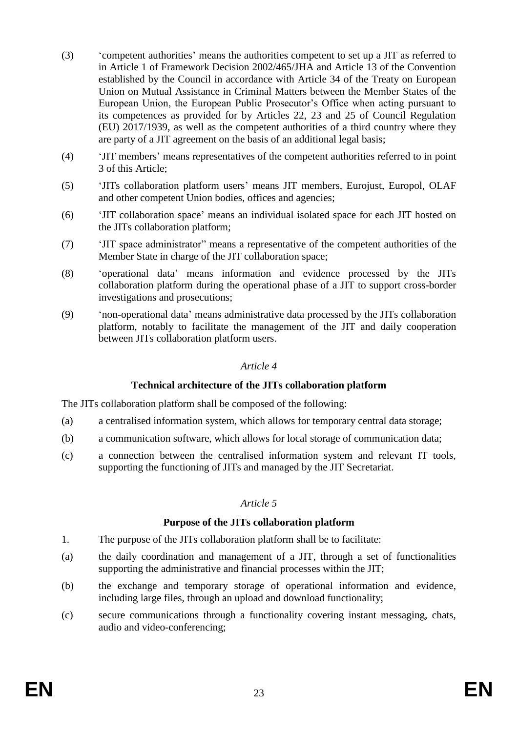- (3) 'competent authorities' means the authorities competent to set up a JIT as referred to in Article 1 of Framework Decision 2002/465/JHA and Article 13 of the Convention established by the Council in accordance with Article 34 of the Treaty on European Union on Mutual Assistance in Criminal Matters between the Member States of the European Union, the European Public Prosecutor's Office when acting pursuant to its competences as provided for by Articles 22, 23 and 25 of Council Regulation (EU) 2017/1939, as well as the competent authorities of a third country where they are party of a JIT agreement on the basis of an additional legal basis;
- (4) 'JIT members' means representatives of the competent authorities referred to in point 3 of this Article;
- (5) 'JITs collaboration platform users' means JIT members, Eurojust, Europol, OLAF and other competent Union bodies, offices and agencies;
- (6) 'JIT collaboration space' means an individual isolated space for each JIT hosted on the JITs collaboration platform;
- (7) 'JIT space administrator" means a representative of the competent authorities of the Member State in charge of the JIT collaboration space;
- (8) 'operational data' means information and evidence processed by the JITs collaboration platform during the operational phase of a JIT to support cross-border investigations and prosecutions;
- (9) 'non-operational data' means administrative data processed by the JITs collaboration platform, notably to facilitate the management of the JIT and daily cooperation between JITs collaboration platform users.

#### **Technical architecture of the JITs collaboration platform**

The JITs collaboration platform shall be composed of the following:

- (a) a centralised information system, which allows for temporary central data storage;
- (b) a communication software, which allows for local storage of communication data;
- (c) a connection between the centralised information system and relevant IT tools, supporting the functioning of JITs and managed by the JIT Secretariat.

#### *Article 5*

#### **Purpose of the JITs collaboration platform**

- 1. The purpose of the JITs collaboration platform shall be to facilitate:
- (a) the daily coordination and management of a JIT, through a set of functionalities supporting the administrative and financial processes within the JIT;
- (b) the exchange and temporary storage of operational information and evidence, including large files, through an upload and download functionality;
- (c) secure communications through a functionality covering instant messaging, chats, audio and video-conferencing;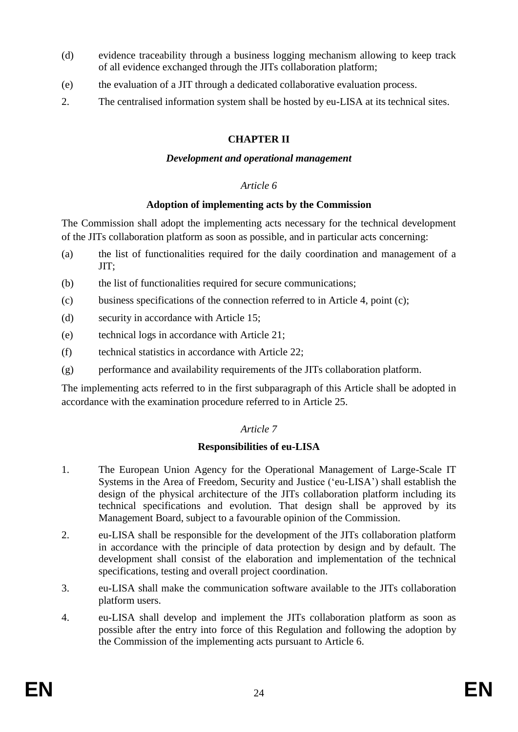- (d) evidence traceability through a business logging mechanism allowing to keep track of all evidence exchanged through the JITs collaboration platform;
- (e) the evaluation of a JIT through a dedicated collaborative evaluation process.
- 2. The centralised information system shall be hosted by eu-LISA at its technical sites.

## **CHAPTER II**

#### *Development and operational management*

#### *Article 6*

#### **Adoption of implementing acts by the Commission**

The Commission shall adopt the implementing acts necessary for the technical development of the JITs collaboration platform as soon as possible, and in particular acts concerning:

- (a) the list of functionalities required for the daily coordination and management of a JIT;
- (b) the list of functionalities required for secure communications;
- (c) business specifications of the connection referred to in Article 4, point (c);
- (d) security in accordance with Article 15;
- (e) technical logs in accordance with Article 21;
- (f) technical statistics in accordance with Article 22;
- (g) performance and availability requirements of the JITs collaboration platform.

The implementing acts referred to in the first subparagraph of this Article shall be adopted in accordance with the examination procedure referred to in Article 25.

#### *Article 7*

### **Responsibilities of eu-LISA**

- 1. The European Union Agency for the Operational Management of Large-Scale IT Systems in the Area of Freedom, Security and Justice ('eu-LISA') shall establish the design of the physical architecture of the JITs collaboration platform including its technical specifications and evolution. That design shall be approved by its Management Board, subject to a favourable opinion of the Commission.
- 2. eu-LISA shall be responsible for the development of the JITs collaboration platform in accordance with the principle of data protection by design and by default. The development shall consist of the elaboration and implementation of the technical specifications, testing and overall project coordination.
- 3. eu-LISA shall make the communication software available to the JITs collaboration platform users.
- 4. eu-LISA shall develop and implement the JITs collaboration platform as soon as possible after the entry into force of this Regulation and following the adoption by the Commission of the implementing acts pursuant to Article 6.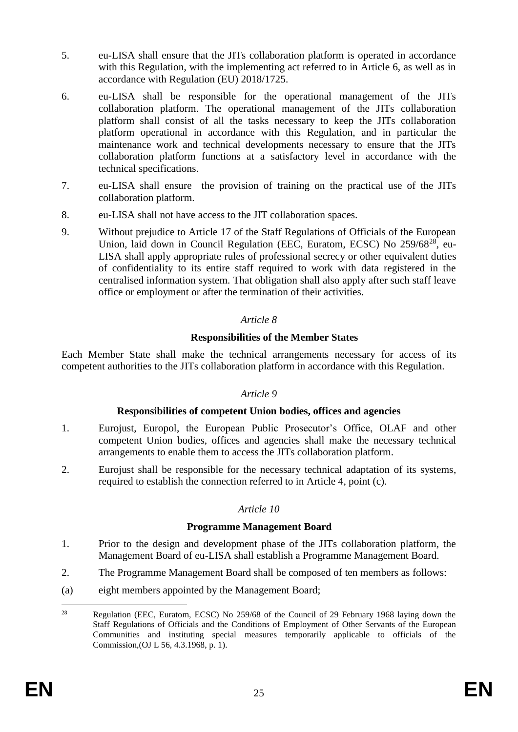- 5. eu-LISA shall ensure that the JITs collaboration platform is operated in accordance with this Regulation, with the implementing act referred to in Article 6, as well as in accordance with Regulation (EU) 2018/1725.
- 6. eu-LISA shall be responsible for the operational management of the JITs collaboration platform. The operational management of the JITs collaboration platform shall consist of all the tasks necessary to keep the JITs collaboration platform operational in accordance with this Regulation, and in particular the maintenance work and technical developments necessary to ensure that the JITs collaboration platform functions at a satisfactory level in accordance with the technical specifications.
- 7. eu-LISA shall ensure the provision of training on the practical use of the JITs collaboration platform.
- 8. eu-LISA shall not have access to the JIT collaboration spaces.
- 9. Without prejudice to Article 17 of the Staff Regulations of Officials of the European Union, laid down in Council Regulation (EEC, Euratom, ECSC) No 259/68<sup>28</sup>, eu-LISA shall apply appropriate rules of professional secrecy or other equivalent duties of confidentiality to its entire staff required to work with data registered in the centralised information system. That obligation shall also apply after such staff leave office or employment or after the termination of their activities.

### **Responsibilities of the Member States**

Each Member State shall make the technical arrangements necessary for access of its competent authorities to the JITs collaboration platform in accordance with this Regulation.

#### *Article 9*

#### **Responsibilities of competent Union bodies, offices and agencies**

- 1. Eurojust, Europol, the European Public Prosecutor's Office, OLAF and other competent Union bodies, offices and agencies shall make the necessary technical arrangements to enable them to access the JITs collaboration platform.
- 2. Eurojust shall be responsible for the necessary technical adaptation of its systems, required to establish the connection referred to in Article 4, point (c).

### *Article 10*

#### **Programme Management Board**

- 1. Prior to the design and development phase of the JITs collaboration platform, the Management Board of eu-LISA shall establish a Programme Management Board.
- 2. The Programme Management Board shall be composed of ten members as follows:
- (a) eight members appointed by the Management Board;

 $28$ <sup>28</sup> Regulation (EEC, Euratom, ECSC) No 259/68 of the Council of 29 February 1968 laying down the Staff Regulations of Officials and the Conditions of Employment of Other Servants of the European Communities and instituting special measures temporarily applicable to officials of the Commission,(OJ L 56, 4.3.1968, p. 1).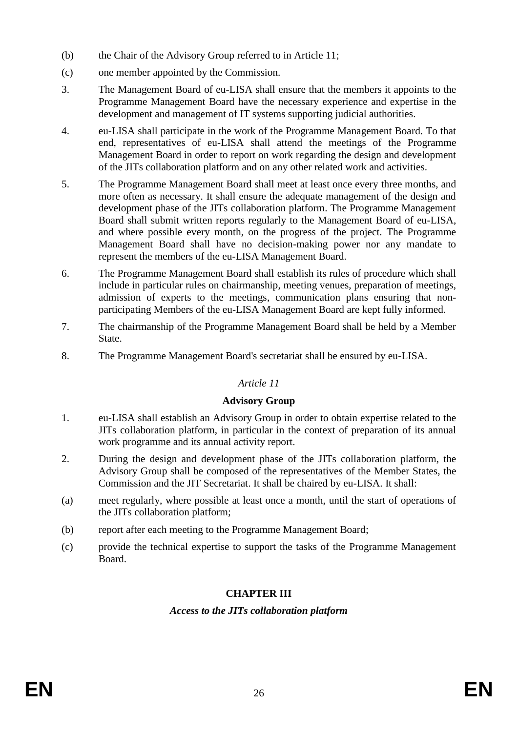- (b) the Chair of the Advisory Group referred to in Article 11;
- (c) one member appointed by the Commission.
- 3. The Management Board of eu-LISA shall ensure that the members it appoints to the Programme Management Board have the necessary experience and expertise in the development and management of IT systems supporting judicial authorities.
- 4. eu-LISA shall participate in the work of the Programme Management Board. To that end, representatives of eu-LISA shall attend the meetings of the Programme Management Board in order to report on work regarding the design and development of the JITs collaboration platform and on any other related work and activities.
- 5. The Programme Management Board shall meet at least once every three months, and more often as necessary. It shall ensure the adequate management of the design and development phase of the JITs collaboration platform. The Programme Management Board shall submit written reports regularly to the Management Board of eu-LISA, and where possible every month, on the progress of the project. The Programme Management Board shall have no decision-making power nor any mandate to represent the members of the eu-LISA Management Board.
- 6. The Programme Management Board shall establish its rules of procedure which shall include in particular rules on chairmanship, meeting venues, preparation of meetings, admission of experts to the meetings, communication plans ensuring that nonparticipating Members of the eu-LISA Management Board are kept fully informed.
- 7. The chairmanship of the Programme Management Board shall be held by a Member State.
- 8. The Programme Management Board's secretariat shall be ensured by eu-LISA.

#### **Advisory Group**

- 1. eu-LISA shall establish an Advisory Group in order to obtain expertise related to the JITs collaboration platform, in particular in the context of preparation of its annual work programme and its annual activity report.
- 2. During the design and development phase of the JITs collaboration platform, the Advisory Group shall be composed of the representatives of the Member States, the Commission and the JIT Secretariat. It shall be chaired by eu-LISA. It shall:
- (a) meet regularly, where possible at least once a month, until the start of operations of the JITs collaboration platform;
- (b) report after each meeting to the Programme Management Board;
- (c) provide the technical expertise to support the tasks of the Programme Management Board.

### **CHAPTER III**

### *Access to the JITs collaboration platform*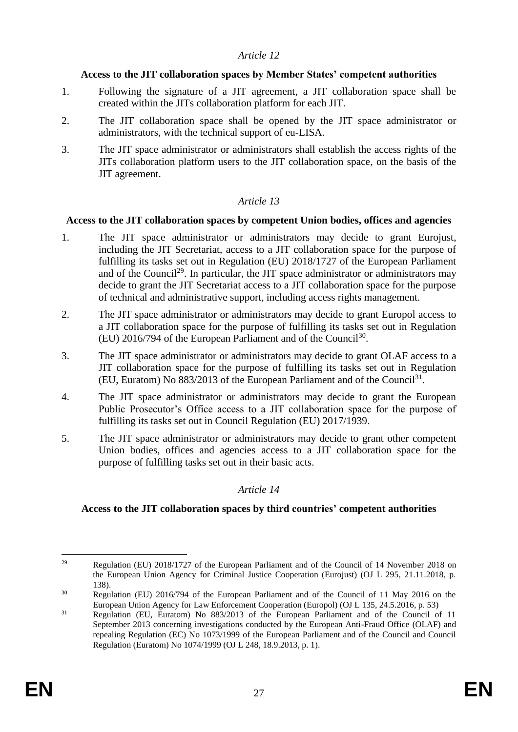### **Access to the JIT collaboration spaces by Member States' competent authorities**

- 1. Following the signature of a JIT agreement, a JIT collaboration space shall be created within the JITs collaboration platform for each JIT.
- 2. The JIT collaboration space shall be opened by the JIT space administrator or administrators, with the technical support of eu-LISA.
- 3. The JIT space administrator or administrators shall establish the access rights of the JITs collaboration platform users to the JIT collaboration space, on the basis of the JIT agreement.

## *Article 13*

### **Access to the JIT collaboration spaces by competent Union bodies, offices and agencies**

- 1. The JIT space administrator or administrators may decide to grant Eurojust, including the JIT Secretariat, access to a JIT collaboration space for the purpose of fulfilling its tasks set out in Regulation (EU) 2018/1727 of the European Parliament and of the Council<sup>29</sup>. In particular, the JIT space administrator or administrators may decide to grant the JIT Secretariat access to a JIT collaboration space for the purpose of technical and administrative support, including access rights management.
- 2. The JIT space administrator or administrators may decide to grant Europol access to a JIT collaboration space for the purpose of fulfilling its tasks set out in Regulation  $(EU)$  2016/794 of the European Parliament and of the Council<sup>30</sup>.
- 3. The JIT space administrator or administrators may decide to grant OLAF access to a JIT collaboration space for the purpose of fulfilling its tasks set out in Regulation (EU, Euratom) No  $883/2013$  of the European Parliament and of the Council<sup>31</sup>.
- 4. The JIT space administrator or administrators may decide to grant the European Public Prosecutor's Office access to a JIT collaboration space for the purpose of fulfilling its tasks set out in Council Regulation (EU) 2017/1939.
- 5. The JIT space administrator or administrators may decide to grant other competent Union bodies, offices and agencies access to a JIT collaboration space for the purpose of fulfilling tasks set out in their basic acts.

### *Article 14*

### **Access to the JIT collaboration spaces by third countries' competent authorities**

<sup>1</sup> <sup>29</sup> Regulation (EU) 2018/1727 of the European Parliament and of the Council of 14 November 2018 on the European Union Agency for Criminal Justice Cooperation (Eurojust) (OJ L 295, 21.11.2018, p. 138).

<sup>&</sup>lt;sup>30</sup> Regulation (EU) 2016/794 of the European Parliament and of the Council of 11 May 2016 on the European Union Agency for Law Enforcement Cooperation (Europol) (OJ L 135, 24.5.2016, p. 53)

<sup>&</sup>lt;sup>31</sup> Regulation (EU, Euratom) No 883/2013 of the European Parliament and of the Council of 11 September 2013 concerning investigations conducted by the European Anti-Fraud Office (OLAF) and repealing Regulation (EC) No 1073/1999 of the European Parliament and of the Council and Council Regulation (Euratom) No 1074/1999 (OJ L 248, 18.9.2013, p. 1).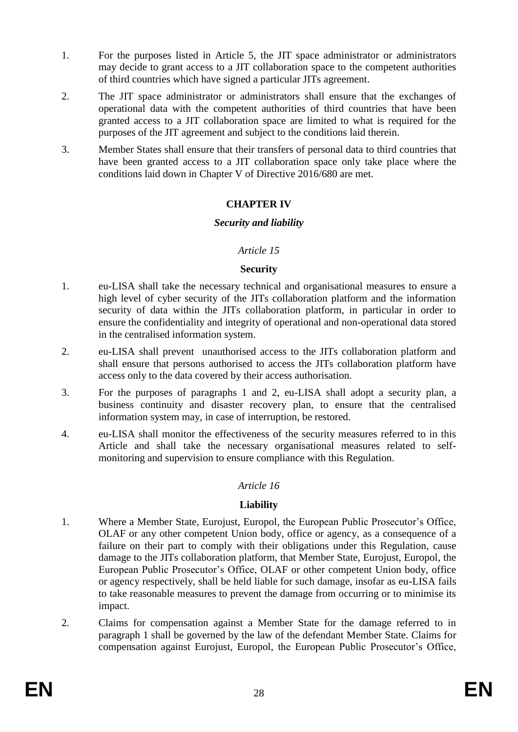- 1. For the purposes listed in Article 5, the JIT space administrator or administrators may decide to grant access to a JIT collaboration space to the competent authorities of third countries which have signed a particular JITs agreement.
- 2. The JIT space administrator or administrators shall ensure that the exchanges of operational data with the competent authorities of third countries that have been granted access to a JIT collaboration space are limited to what is required for the purposes of the JIT agreement and subject to the conditions laid therein.
- 3. Member States shall ensure that their transfers of personal data to third countries that have been granted access to a JIT collaboration space only take place where the conditions laid down in Chapter V of Directive 2016/680 are met.

### **CHAPTER IV**

### *Security and liability*

### *Article 15*

#### **Security**

- 1. eu-LISA shall take the necessary technical and organisational measures to ensure a high level of cyber security of the JITs collaboration platform and the information security of data within the JITs collaboration platform, in particular in order to ensure the confidentiality and integrity of operational and non-operational data stored in the centralised information system.
- 2. eu-LISA shall prevent unauthorised access to the JITs collaboration platform and shall ensure that persons authorised to access the JITs collaboration platform have access only to the data covered by their access authorisation.
- 3. For the purposes of paragraphs 1 and 2, eu-LISA shall adopt a security plan, a business continuity and disaster recovery plan, to ensure that the centralised information system may, in case of interruption, be restored.
- 4. eu-LISA shall monitor the effectiveness of the security measures referred to in this Article and shall take the necessary organisational measures related to selfmonitoring and supervision to ensure compliance with this Regulation.

### *Article 16*

### **Liability**

- 1. Where a Member State, Eurojust, Europol, the European Public Prosecutor's Office, OLAF or any other competent Union body, office or agency, as a consequence of a failure on their part to comply with their obligations under this Regulation, cause damage to the JITs collaboration platform, that Member State, Eurojust, Europol, the European Public Prosecutor's Office, OLAF or other competent Union body, office or agency respectively, shall be held liable for such damage, insofar as eu-LISA fails to take reasonable measures to prevent the damage from occurring or to minimise its impact.
- 2. Claims for compensation against a Member State for the damage referred to in paragraph 1 shall be governed by the law of the defendant Member State. Claims for compensation against Eurojust, Europol, the European Public Prosecutor's Office,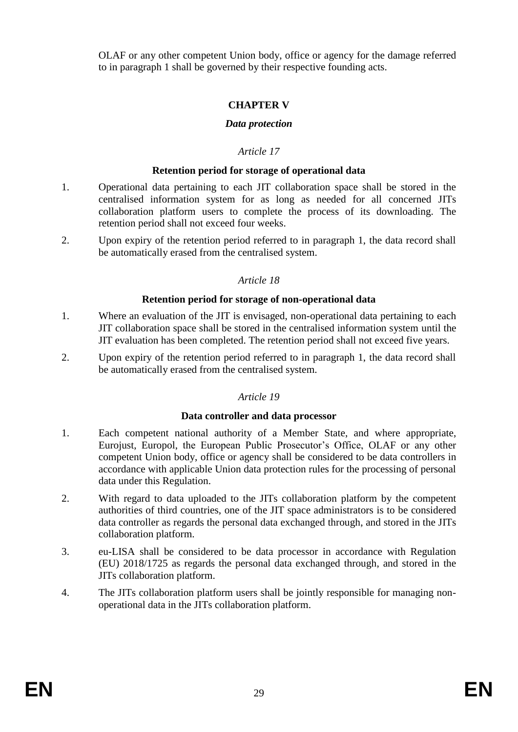OLAF or any other competent Union body, office or agency for the damage referred to in paragraph 1 shall be governed by their respective founding acts.

# **CHAPTER V**

### *Data protection*

## *Article 17*

### **Retention period for storage of operational data**

- 1. Operational data pertaining to each JIT collaboration space shall be stored in the centralised information system for as long as needed for all concerned JITs collaboration platform users to complete the process of its downloading. The retention period shall not exceed four weeks.
- 2. Upon expiry of the retention period referred to in paragraph 1, the data record shall be automatically erased from the centralised system.

## *Article 18*

### **Retention period for storage of non-operational data**

- 1. Where an evaluation of the JIT is envisaged, non-operational data pertaining to each JIT collaboration space shall be stored in the centralised information system until the JIT evaluation has been completed. The retention period shall not exceed five years.
- 2. Upon expiry of the retention period referred to in paragraph 1, the data record shall be automatically erased from the centralised system.

# *Article 19*

### **Data controller and data processor**

- 1. Each competent national authority of a Member State, and where appropriate, Eurojust, Europol, the European Public Prosecutor's Office, OLAF or any other competent Union body, office or agency shall be considered to be data controllers in accordance with applicable Union data protection rules for the processing of personal data under this Regulation.
- 2. With regard to data uploaded to the JITs collaboration platform by the competent authorities of third countries, one of the JIT space administrators is to be considered data controller as regards the personal data exchanged through, and stored in the JITs collaboration platform.
- 3. eu-LISA shall be considered to be data processor in accordance with Regulation (EU) 2018/1725 as regards the personal data exchanged through, and stored in the JITs collaboration platform.
- 4. The JITs collaboration platform users shall be jointly responsible for managing nonoperational data in the JITs collaboration platform.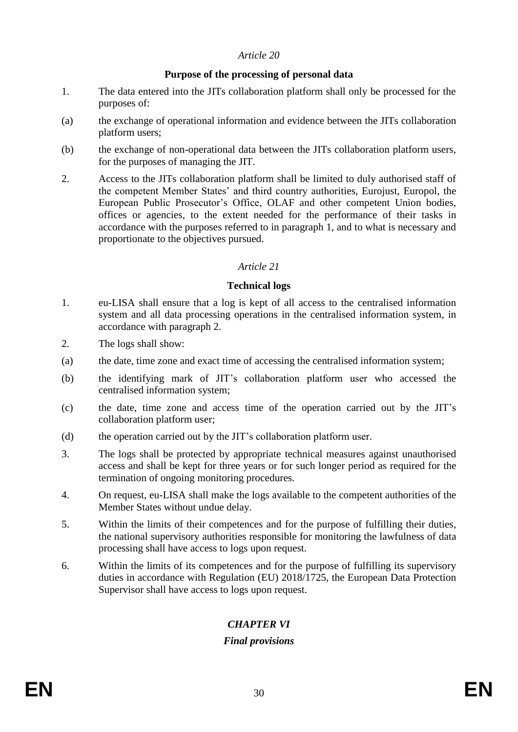### **Purpose of the processing of personal data**

- 1. The data entered into the JITs collaboration platform shall only be processed for the purposes of:
- (a) the exchange of operational information and evidence between the JITs collaboration platform users;
- (b) the exchange of non-operational data between the JITs collaboration platform users, for the purposes of managing the JIT.
- 2. Access to the JITs collaboration platform shall be limited to duly authorised staff of the competent Member States' and third country authorities, Eurojust, Europol, the European Public Prosecutor's Office, OLAF and other competent Union bodies, offices or agencies, to the extent needed for the performance of their tasks in accordance with the purposes referred to in paragraph 1, and to what is necessary and proportionate to the objectives pursued.

### *Article 21*

#### **Technical logs**

- 1. eu-LISA shall ensure that a log is kept of all access to the centralised information system and all data processing operations in the centralised information system, in accordance with paragraph 2.
- 2. The logs shall show:
- (a) the date, time zone and exact time of accessing the centralised information system;
- (b) the identifying mark of JIT's collaboration platform user who accessed the centralised information system;
- (c) the date, time zone and access time of the operation carried out by the JIT's collaboration platform user;
- (d) the operation carried out by the JIT's collaboration platform user.
- 3. The logs shall be protected by appropriate technical measures against unauthorised access and shall be kept for three years or for such longer period as required for the termination of ongoing monitoring procedures.
- 4. On request, eu-LISA shall make the logs available to the competent authorities of the Member States without undue delay.
- 5. Within the limits of their competences and for the purpose of fulfilling their duties, the national supervisory authorities responsible for monitoring the lawfulness of data processing shall have access to logs upon request.
- 6. Within the limits of its competences and for the purpose of fulfilling its supervisory duties in accordance with Regulation (EU) 2018/1725, the European Data Protection Supervisor shall have access to logs upon request.

# *CHAPTER VI*

### *Final provisions*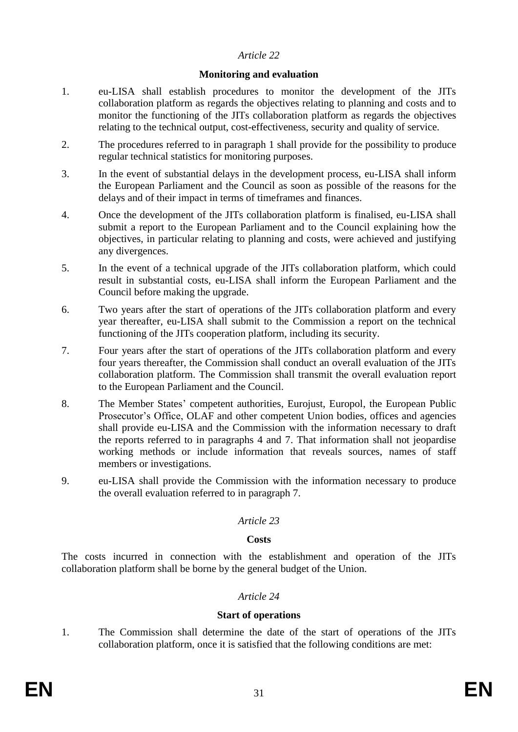#### **Monitoring and evaluation**

- 1. eu-LISA shall establish procedures to monitor the development of the JITs collaboration platform as regards the objectives relating to planning and costs and to monitor the functioning of the JITs collaboration platform as regards the objectives relating to the technical output, cost-effectiveness, security and quality of service.
- 2. The procedures referred to in paragraph 1 shall provide for the possibility to produce regular technical statistics for monitoring purposes.
- 3. In the event of substantial delays in the development process, eu-LISA shall inform the European Parliament and the Council as soon as possible of the reasons for the delays and of their impact in terms of timeframes and finances.
- 4. Once the development of the JITs collaboration platform is finalised, eu-LISA shall submit a report to the European Parliament and to the Council explaining how the objectives, in particular relating to planning and costs, were achieved and justifying any divergences.
- 5. In the event of a technical upgrade of the JITs collaboration platform, which could result in substantial costs, eu-LISA shall inform the European Parliament and the Council before making the upgrade.
- 6. Two years after the start of operations of the JITs collaboration platform and every year thereafter, eu-LISA shall submit to the Commission a report on the technical functioning of the JITs cooperation platform, including its security.
- 7. Four years after the start of operations of the JITs collaboration platform and every four years thereafter, the Commission shall conduct an overall evaluation of the JITs collaboration platform. The Commission shall transmit the overall evaluation report to the European Parliament and the Council.
- 8. The Member States' competent authorities, Eurojust, Europol, the European Public Prosecutor's Office, OLAF and other competent Union bodies, offices and agencies shall provide eu-LISA and the Commission with the information necessary to draft the reports referred to in paragraphs 4 and 7. That information shall not jeopardise working methods or include information that reveals sources, names of staff members or investigations.
- 9. eu-LISA shall provide the Commission with the information necessary to produce the overall evaluation referred to in paragraph 7.

### *Article 23*

#### **Costs**

The costs incurred in connection with the establishment and operation of the JITs collaboration platform shall be borne by the general budget of the Union.

### *Article 24*

#### **Start of operations**

1. The Commission shall determine the date of the start of operations of the JITs collaboration platform, once it is satisfied that the following conditions are met: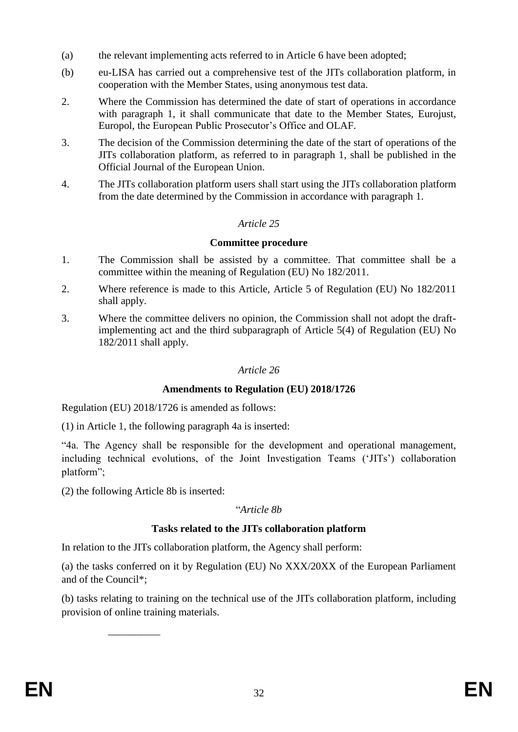- (a) the relevant implementing acts referred to in Article 6 have been adopted;
- (b) eu-LISA has carried out a comprehensive test of the JITs collaboration platform, in cooperation with the Member States, using anonymous test data.
- 2. Where the Commission has determined the date of start of operations in accordance with paragraph 1, it shall communicate that date to the Member States, Eurojust, Europol, the European Public Prosecutor's Office and OLAF.
- 3. The decision of the Commission determining the date of the start of operations of the JITs collaboration platform, as referred to in paragraph 1, shall be published in the Official Journal of the European Union.
- 4. The JITs collaboration platform users shall start using the JITs collaboration platform from the date determined by the Commission in accordance with paragraph 1.

### **Committee procedure**

- 1. The Commission shall be assisted by a committee. That committee shall be a committee within the meaning of Regulation (EU) No 182/2011.
- 2. Where reference is made to this Article, Article 5 of Regulation (EU) No 182/2011 shall apply.
- 3. Where the committee delivers no opinion, the Commission shall not adopt the draftimplementing act and the third subparagraph of Article 5(4) of Regulation (EU) No 182/2011 shall apply.

### *Article 26*

### **Amendments to Regulation (EU) 2018/1726**

Regulation (EU) 2018/1726 is amended as follows:

(1) in Article 1, the following paragraph 4a is inserted:

"4a. The Agency shall be responsible for the development and operational management, including technical evolutions, of the Joint Investigation Teams ('JITs') collaboration platform";

(2) the following Article 8b is inserted:

\_\_\_\_\_\_\_\_\_\_

#### "*Article 8b*

### **Tasks related to the JITs collaboration platform**

In relation to the JITs collaboration platform, the Agency shall perform:

(a) the tasks conferred on it by Regulation (EU) No XXX/20XX of the European Parliament and of the Council\*;

(b) tasks relating to training on the technical use of the JITs collaboration platform, including provision of online training materials.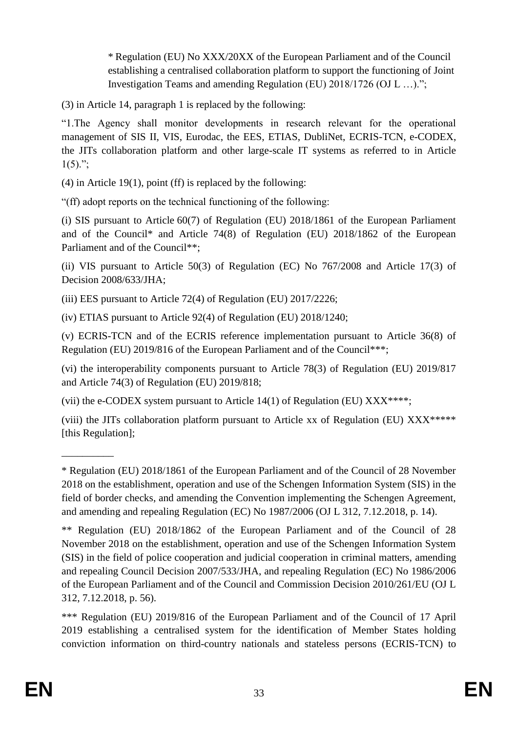\* Regulation (EU) No XXX/20XX of the European Parliament and of the Council establishing a centralised collaboration platform to support the functioning of Joint Investigation Teams and amending Regulation (EU) 2018/1726 (OJ L …).";

(3) in Article 14, paragraph 1 is replaced by the following:

"1.The Agency shall monitor developments in research relevant for the operational management of SIS II, VIS, Eurodac, the EES, ETIAS, DubliNet, ECRIS-TCN, e-CODEX, the JITs collaboration platform and other large-scale IT systems as referred to in Article  $1(5)$ .";

(4) in Article 19(1), point (ff) is replaced by the following:

"(ff) adopt reports on the technical functioning of the following:

(i) SIS pursuant to Article 60(7) of Regulation (EU) 2018/1861 of the European Parliament and of the Council\* and Article 74(8) of Regulation (EU) 2018/1862 of the European Parliament and of the Council\*\*;

(ii) VIS pursuant to Article 50(3) of Regulation (EC) No 767/2008 and Article 17(3) of Decision 2008/633/JHA;

(iii) EES pursuant to Article 72(4) of Regulation (EU) 2017/2226;

(iv) ETIAS pursuant to Article 92(4) of Regulation (EU) 2018/1240;

(v) ECRIS-TCN and of the ECRIS reference implementation pursuant to Article 36(8) of Regulation (EU) 2019/816 of the European Parliament and of the Council\*\*\*;

(vi) the interoperability components pursuant to Article 78(3) of Regulation (EU) 2019/817 and Article 74(3) of Regulation (EU) 2019/818;

(vii) the e-CODEX system pursuant to Article  $14(1)$  of Regulation (EU) XXX\*\*\*\*;

(viii) the JITs collaboration platform pursuant to Article xx of Regulation (EU) XXX\*\*\*\*\* [this Regulation];

 $\overline{\phantom{a}}$ 

<sup>\*</sup> Regulation (EU) 2018/1861 of the European Parliament and of the Council of 28 November 2018 on the establishment, operation and use of the Schengen Information System (SIS) in the field of border checks, and amending the Convention implementing the Schengen Agreement, and amending and repealing Regulation (EC) No 1987/2006 (OJ L 312, 7.12.2018, p. 14).

<sup>\*\*</sup> Regulation (EU) 2018/1862 of the European Parliament and of the Council of 28 November 2018 on the establishment, operation and use of the Schengen Information System (SIS) in the field of police cooperation and judicial cooperation in criminal matters, amending and repealing Council Decision 2007/533/JHA, and repealing Regulation (EC) No 1986/2006 of the European Parliament and of the Council and Commission Decision 2010/261/EU (OJ L 312, 7.12.2018, p. 56).

<sup>\*\*\*</sup> Regulation (EU) 2019/816 of the European Parliament and of the Council of 17 April 2019 establishing a centralised system for the identification of Member States holding conviction information on third-country nationals and stateless persons (ECRIS-TCN) to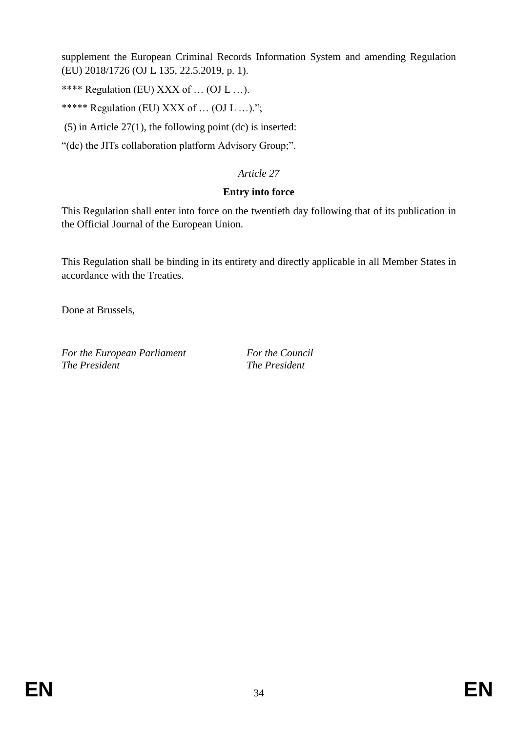supplement the European Criminal Records Information System and amending Regulation (EU) 2018/1726 (OJ L 135, 22.5.2019, p. 1).

\*\*\*\* Regulation (EU) XXX of … (OJ L …).

\*\*\*\*\* Regulation (EU) XXX of … (OJ L …).";

(5) in Article 27(1), the following point (dc) is inserted:

"(dc) the JITs collaboration platform Advisory Group;".

## *Article 27*

### **Entry into force**

This Regulation shall enter into force on the twentieth day following that of its publication in the Official Journal of the European Union.

This Regulation shall be binding in its entirety and directly applicable in all Member States in accordance with the Treaties.

Done at Brussels,

*For the European Parliament For the Council The President The President*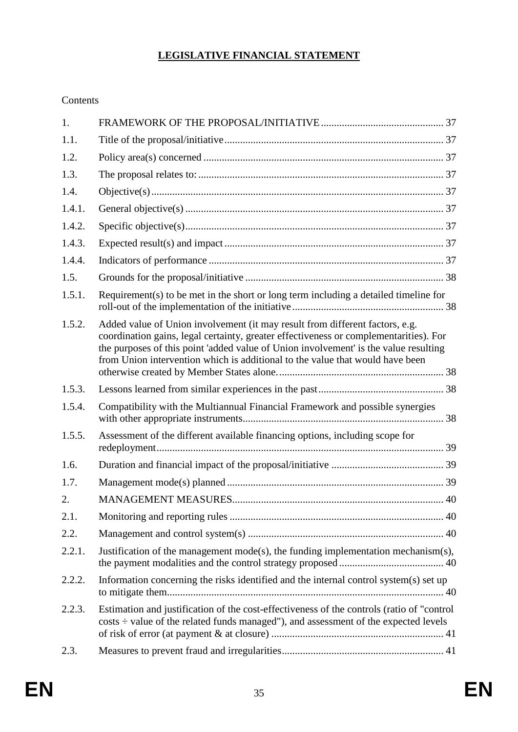# **LEGISLATIVE FINANCIAL STATEMENT**

Contents

| 1.     |                                                                                                                                                                                                                                                                                                                                                |  |
|--------|------------------------------------------------------------------------------------------------------------------------------------------------------------------------------------------------------------------------------------------------------------------------------------------------------------------------------------------------|--|
| 1.1.   |                                                                                                                                                                                                                                                                                                                                                |  |
| 1.2.   |                                                                                                                                                                                                                                                                                                                                                |  |
| 1.3.   |                                                                                                                                                                                                                                                                                                                                                |  |
| 1.4.   |                                                                                                                                                                                                                                                                                                                                                |  |
| 1.4.1. |                                                                                                                                                                                                                                                                                                                                                |  |
| 1.4.2. |                                                                                                                                                                                                                                                                                                                                                |  |
| 1.4.3. |                                                                                                                                                                                                                                                                                                                                                |  |
| 1.4.4. |                                                                                                                                                                                                                                                                                                                                                |  |
| 1.5.   |                                                                                                                                                                                                                                                                                                                                                |  |
| 1.5.1. | Requirement(s) to be met in the short or long term including a detailed timeline for                                                                                                                                                                                                                                                           |  |
| 1.5.2. | Added value of Union involvement (it may result from different factors, e.g.<br>coordination gains, legal certainty, greater effectiveness or complementarities). For<br>the purposes of this point 'added value of Union involvement' is the value resulting<br>from Union intervention which is additional to the value that would have been |  |
| 1.5.3. |                                                                                                                                                                                                                                                                                                                                                |  |
| 1.5.4. | Compatibility with the Multiannual Financial Framework and possible synergies                                                                                                                                                                                                                                                                  |  |
| 1.5.5. | Assessment of the different available financing options, including scope for                                                                                                                                                                                                                                                                   |  |
| 1.6.   |                                                                                                                                                                                                                                                                                                                                                |  |
| 1.7.   |                                                                                                                                                                                                                                                                                                                                                |  |
| 2.     |                                                                                                                                                                                                                                                                                                                                                |  |
| 2.1.   |                                                                                                                                                                                                                                                                                                                                                |  |
| 2.2.   |                                                                                                                                                                                                                                                                                                                                                |  |
| 2.2.1. | Justification of the management $mode(s)$ , the funding implementation mechanism $(s)$ ,                                                                                                                                                                                                                                                       |  |
| 2.2.2. | Information concerning the risks identified and the internal control system(s) set up                                                                                                                                                                                                                                                          |  |
| 2.2.3. | Estimation and justification of the cost-effectiveness of the controls (ratio of "control<br>costs ÷ value of the related funds managed"), and assessment of the expected levels                                                                                                                                                               |  |
| 2.3.   |                                                                                                                                                                                                                                                                                                                                                |  |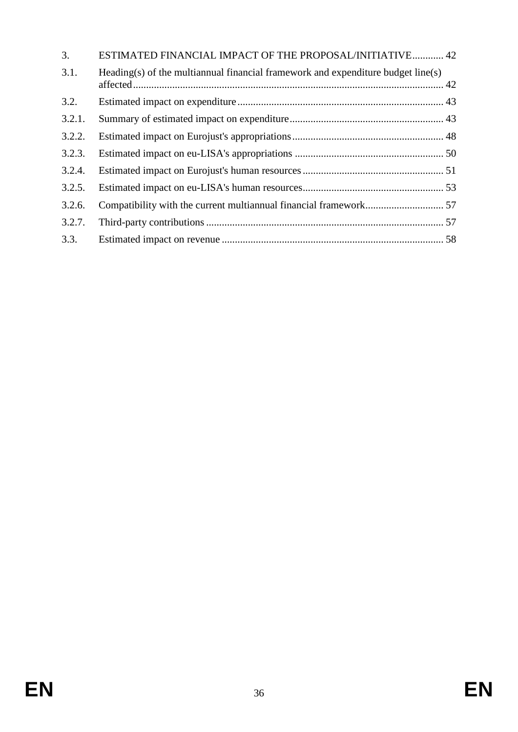| 3.     | ESTIMATED FINANCIAL IMPACT OF THE PROPOSAL/INITIATIVE 42                         |  |
|--------|----------------------------------------------------------------------------------|--|
| 3.1.   | Heading(s) of the multiannual financial framework and expenditure budget line(s) |  |
| 3.2.   |                                                                                  |  |
| 3.2.1. |                                                                                  |  |
| 3.2.2. |                                                                                  |  |
| 3.2.3. |                                                                                  |  |
| 3.2.4. |                                                                                  |  |
| 3.2.5. |                                                                                  |  |
| 3.2.6. |                                                                                  |  |
| 3.2.7. |                                                                                  |  |
| 3.3.   |                                                                                  |  |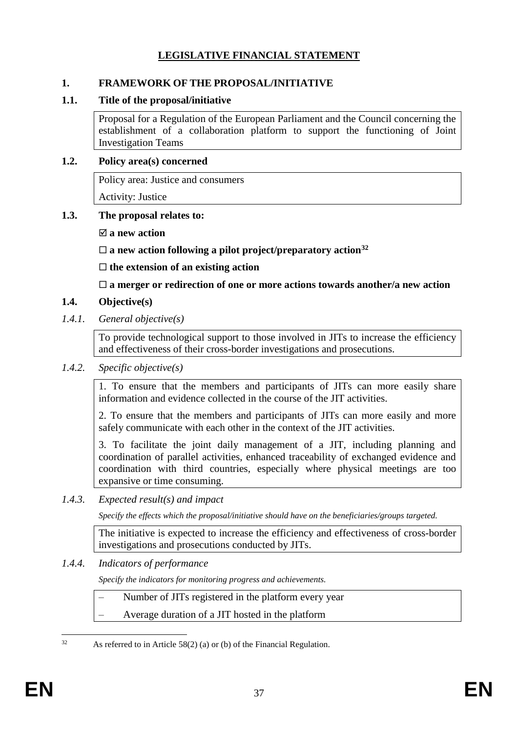# **LEGISLATIVE FINANCIAL STATEMENT**

### <span id="page-37-0"></span>**1. FRAMEWORK OF THE PROPOSAL/INITIATIVE**

#### <span id="page-37-1"></span>**1.1. Title of the proposal/initiative**

Proposal for a Regulation of the European Parliament and the Council concerning the establishment of a collaboration platform to support the functioning of Joint Investigation Teams

#### <span id="page-37-2"></span>**1.2. Policy area(s) concerned**

Policy area: Justice and consumers

Activity: Justice

### <span id="page-37-3"></span>**1.3. The proposal relates to:**

**a new action**

**a new action following a pilot project/preparatory action<sup>32</sup>**

**the extension of an existing action**

**a merger or redirection of one or more actions towards another/a new action**

### <span id="page-37-4"></span>**1.4. Objective(s)**

<span id="page-37-5"></span>*1.4.1. General objective(s)*

To provide technological support to those involved in JITs to increase the efficiency and effectiveness of their cross-border investigations and prosecutions.

<span id="page-37-6"></span>*1.4.2. Specific objective(s)*

1. To ensure that the members and participants of JITs can more easily share information and evidence collected in the course of the JIT activities.

2. To ensure that the members and participants of JITs can more easily and more safely communicate with each other in the context of the JIT activities.

3. To facilitate the joint daily management of a JIT, including planning and coordination of parallel activities, enhanced traceability of exchanged evidence and coordination with third countries, especially where physical meetings are too expansive or time consuming.

<span id="page-37-7"></span>*1.4.3. Expected result(s) and impact* 

*Specify the effects which the proposal/initiative should have on the beneficiaries/groups targeted.*

The initiative is expected to increase the efficiency and effectiveness of cross-border investigations and prosecutions conducted by JITs.

#### <span id="page-37-8"></span>*1.4.4. Indicators of performance*

*Specify the indicators for monitoring progress and achievements.*

- Number of JITs registered in the platform every year
- Average duration of a JIT hosted in the platform

<sup>32</sup> As referred to in Article 58(2) (a) or (b) of the Financial Regulation.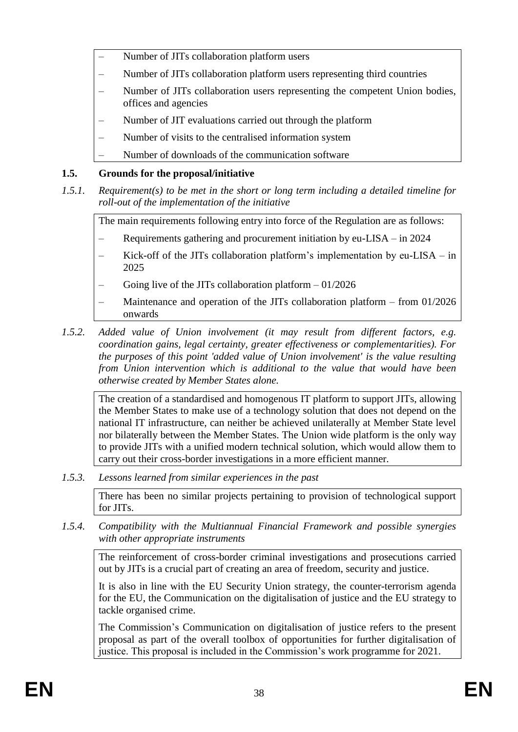- Number of JITs collaboration platform users
- Number of JITs collaboration platform users representing third countries
- Number of JITs collaboration users representing the competent Union bodies, offices and agencies
- Number of JIT evaluations carried out through the platform
- Number of visits to the centralised information system
- Number of downloads of the communication software

# <span id="page-38-0"></span>**1.5. Grounds for the proposal/initiative**

<span id="page-38-1"></span>*1.5.1. Requirement(s) to be met in the short or long term including a detailed timeline for roll-out of the implementation of the initiative*

The main requirements following entry into force of the Regulation are as follows:

- Requirements gathering and procurement initiation by eu-LISA in 2024
- Kick-off of the JITs collaboration platform's implementation by  $eu-LISA in$ 2025
- Going live of the JITs collaboration platform  $-01/2026$
- Maintenance and operation of the JITs collaboration platform  $-$  from 01/2026 onwards
- <span id="page-38-2"></span>*1.5.2. Added value of Union involvement (it may result from different factors, e.g. coordination gains, legal certainty, greater effectiveness or complementarities). For the purposes of this point 'added value of Union involvement' is the value resulting from Union intervention which is additional to the value that would have been otherwise created by Member States alone.*

The creation of a standardised and homogenous IT platform to support JITs, allowing the Member States to make use of a technology solution that does not depend on the national IT infrastructure, can neither be achieved unilaterally at Member State level nor bilaterally between the Member States. The Union wide platform is the only way to provide JITs with a unified modern technical solution, which would allow them to carry out their cross-border investigations in a more efficient manner.

<span id="page-38-3"></span>*1.5.3. Lessons learned from similar experiences in the past*

There has been no similar projects pertaining to provision of technological support for JITs.

<span id="page-38-4"></span>*1.5.4. Compatibility with the Multiannual Financial Framework and possible synergies with other appropriate instruments*

The reinforcement of cross-border criminal investigations and prosecutions carried out by JITs is a crucial part of creating an area of freedom, security and justice.

It is also in line with the EU Security Union strategy, the counter-terrorism agenda for the EU, the Communication on the digitalisation of justice and the EU strategy to tackle organised crime.

The Commission's Communication on digitalisation of justice refers to the present proposal as part of the overall toolbox of opportunities for further digitalisation of justice. This proposal is included in the Commission's work programme for 2021.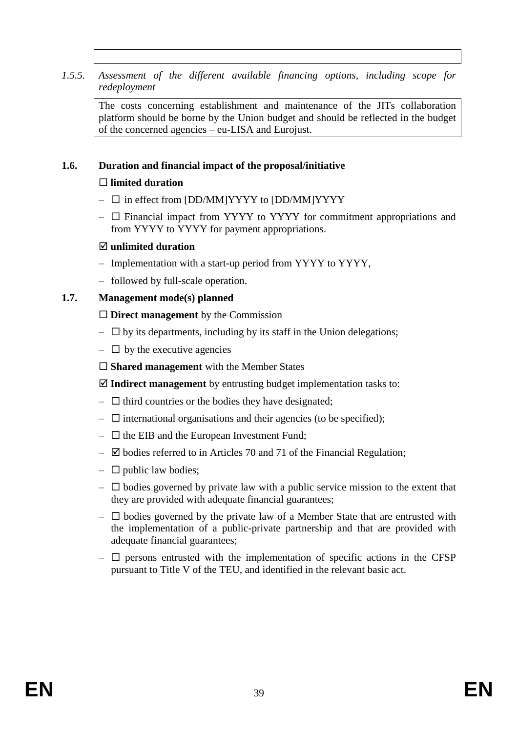### <span id="page-39-0"></span>*1.5.5. Assessment of the different available financing options, including scope for redeployment*

The costs concerning establishment and maintenance of the JITs collaboration platform should be borne by the Union budget and should be reflected in the budget of the concerned agencies – eu-LISA and Eurojust.

#### <span id="page-39-1"></span>**1.6. Duration and financial impact of the proposal/initiative**

### **limited duration**

- $\square$  in effect from [DD/MM]YYYY to [DD/MM]YYYY
- $\Box$  Financial impact from YYYY to YYYY for commitment appropriations and from YYYY to YYYY for payment appropriations.

### **unlimited duration**

- Implementation with a start-up period from YYYY to YYYY,
- followed by full-scale operation.

### <span id="page-39-2"></span>**1.7. Management mode(s) planned**

### **Direct management** by the Commission

- $\Box$  by its departments, including by its staff in the Union delegations;
- $\Box$  by the executive agencies
- **Shared management** with the Member States

**Indirect management** by entrusting budget implementation tasks to:

- $\Box$  third countries or the bodies they have designated;
- $\Box$  international organisations and their agencies (to be specified);
- $\Box$  the EIB and the European Investment Fund;
- $\boxtimes$  bodies referred to in Articles 70 and 71 of the Financial Regulation;
- $\Box$  public law bodies;
- $\Box$  bodies governed by private law with a public service mission to the extent that they are provided with adequate financial guarantees;
- $\Box$  bodies governed by the private law of a Member State that are entrusted with the implementation of a public-private partnership and that are provided with adequate financial guarantees;
- $\Box$  persons entrusted with the implementation of specific actions in the CFSP pursuant to Title V of the TEU, and identified in the relevant basic act.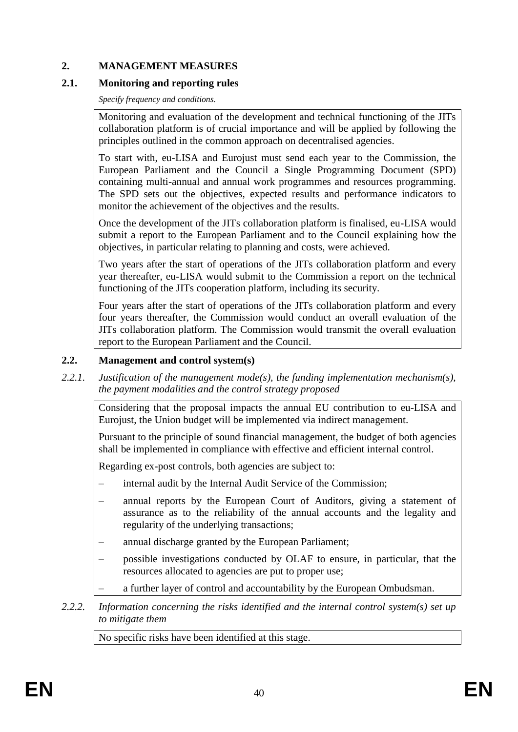### <span id="page-40-0"></span>**2. MANAGEMENT MEASURES**

### <span id="page-40-1"></span>**2.1. Monitoring and reporting rules**

*Specify frequency and conditions.*

Monitoring and evaluation of the development and technical functioning of the JITs collaboration platform is of crucial importance and will be applied by following the principles outlined in the common approach on decentralised agencies.

To start with, eu-LISA and Eurojust must send each year to the Commission, the European Parliament and the Council a Single Programming Document (SPD) containing multi-annual and annual work programmes and resources programming. The SPD sets out the objectives, expected results and performance indicators to monitor the achievement of the objectives and the results.

Once the development of the JITs collaboration platform is finalised, eu-LISA would submit a report to the European Parliament and to the Council explaining how the objectives, in particular relating to planning and costs, were achieved.

Two years after the start of operations of the JITs collaboration platform and every year thereafter, eu-LISA would submit to the Commission a report on the technical functioning of the JITs cooperation platform, including its security.

Four years after the start of operations of the JITs collaboration platform and every four years thereafter, the Commission would conduct an overall evaluation of the JITs collaboration platform. The Commission would transmit the overall evaluation report to the European Parliament and the Council.

### <span id="page-40-2"></span>**2.2. Management and control system(s)**

<span id="page-40-3"></span>*2.2.1. Justification of the management mode(s), the funding implementation mechanism(s), the payment modalities and the control strategy proposed*

Considering that the proposal impacts the annual EU contribution to eu-LISA and Eurojust, the Union budget will be implemented via indirect management.

Pursuant to the principle of sound financial management, the budget of both agencies shall be implemented in compliance with effective and efficient internal control.

Regarding ex-post controls, both agencies are subject to:

- internal audit by the Internal Audit Service of the Commission;
- annual reports by the European Court of Auditors, giving a statement of assurance as to the reliability of the annual accounts and the legality and regularity of the underlying transactions;
- annual discharge granted by the European Parliament;
- possible investigations conducted by OLAF to ensure, in particular, that the resources allocated to agencies are put to proper use;
- a further layer of control and accountability by the European Ombudsman.
- <span id="page-40-4"></span>*2.2.2. Information concerning the risks identified and the internal control system(s) set up to mitigate them*

No specific risks have been identified at this stage.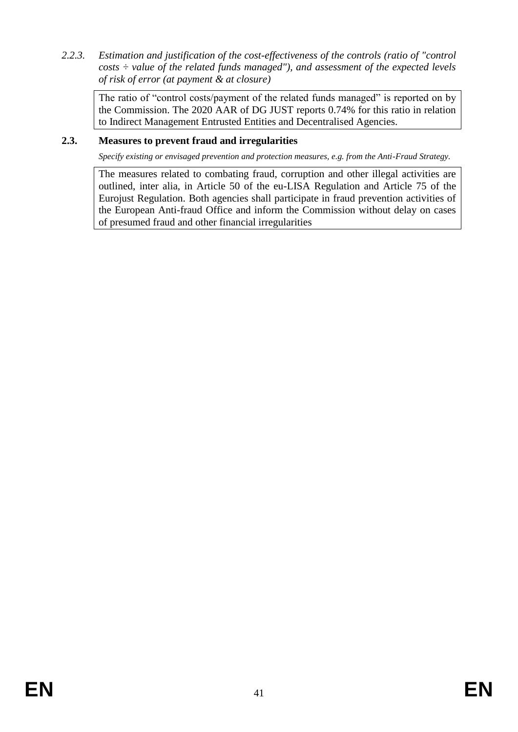<span id="page-41-0"></span>*2.2.3. Estimation and justification of the cost-effectiveness of the controls (ratio of "control costs ÷ value of the related funds managed"), and assessment of the expected levels of risk of error (at payment & at closure)* 

The ratio of "control costs/payment of the related funds managed" is reported on by the Commission. The 2020 AAR of DG JUST reports 0.74% for this ratio in relation to Indirect Management Entrusted Entities and Decentralised Agencies.

### <span id="page-41-1"></span>**2.3. Measures to prevent fraud and irregularities**

*Specify existing or envisaged prevention and protection measures, e.g. from the Anti-Fraud Strategy.*

The measures related to combating fraud, corruption and other illegal activities are outlined, inter alia, in Article 50 of the eu-LISA Regulation and Article 75 of the Eurojust Regulation. Both agencies shall participate in fraud prevention activities of the European Anti-fraud Office and inform the Commission without delay on cases of presumed fraud and other financial irregularities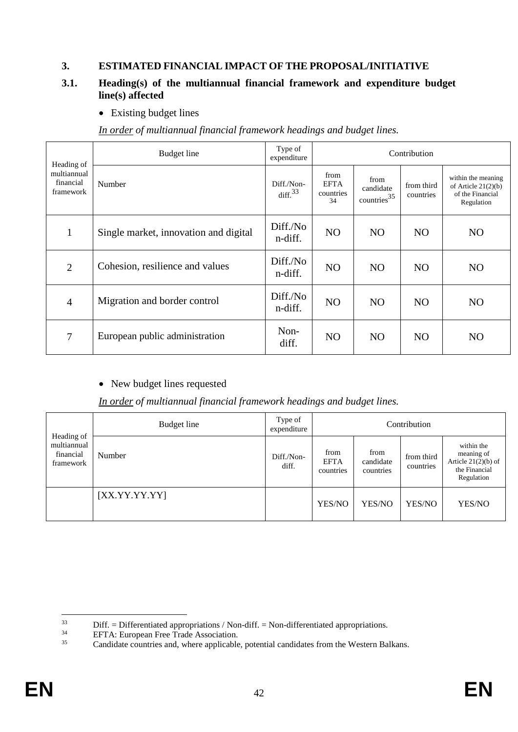### <span id="page-42-0"></span>**3. ESTIMATED FINANCIAL IMPACT OF THE PROPOSAL/INITIATIVE**

### <span id="page-42-1"></span>**3.1. Heading(s) of the multiannual financial framework and expenditure budget line(s) affected**

• Existing budget lines

| Heading of                            | Budget line                           | Type of<br>expenditure   | Contribution                           |                                                |                         |                                                                               |  |
|---------------------------------------|---------------------------------------|--------------------------|----------------------------------------|------------------------------------------------|-------------------------|-------------------------------------------------------------------------------|--|
| multiannual<br>financial<br>framework | Number                                | Diff./Non-<br>diff. $33$ | from<br><b>EFTA</b><br>countries<br>34 | from<br>candidate<br>$countries$ <sup>35</sup> | from third<br>countries | within the meaning<br>of Article $21(2)(b)$<br>of the Financial<br>Regulation |  |
| 1                                     | Single market, innovation and digital | Diff./No<br>n-diff.      | N <sub>O</sub>                         | N <sub>O</sub>                                 | N <sub>O</sub>          | N <sub>O</sub>                                                                |  |
| $\overline{2}$                        | Cohesion, resilience and values       | Diff./No<br>n-diff.      | N <sub>O</sub>                         | N <sub>O</sub>                                 | N <sub>O</sub>          | N <sub>O</sub>                                                                |  |
| $\overline{4}$                        | Migration and border control          | Diff./No<br>n-diff.      | N <sub>O</sub>                         | N <sub>O</sub>                                 | N <sub>O</sub>          | N <sub>O</sub>                                                                |  |
| 7                                     | European public administration        | Non-<br>diff.            | N <sub>O</sub>                         | N <sub>O</sub>                                 | N <sub>O</sub>          | N <sub>O</sub>                                                                |  |

*In order of multiannual financial framework headings and budget lines.*

### • New budget lines requested

### *In order of multiannual financial framework headings and budget lines.*

|                                                     | Budget line   | Type of<br>expenditure | Contribution                     |                                |                         |                                                                                  |  |  |
|-----------------------------------------------------|---------------|------------------------|----------------------------------|--------------------------------|-------------------------|----------------------------------------------------------------------------------|--|--|
| Heading of<br>multiannual<br>financial<br>framework | Number        | Diff./Non-<br>diff.    | from<br><b>EFTA</b><br>countries | from<br>candidate<br>countries | from third<br>countries | within the<br>meaning of<br>Article $21(2)(b)$ of<br>the Financial<br>Regulation |  |  |
|                                                     | [XX.YY.YY.YY] |                        | YES/NO                           | YES/NO                         | YES/NO                  | YES/NO                                                                           |  |  |

<sup>33</sup>  $33$  Diff. = Differentiated appropriations / Non-diff. = Non-differentiated appropriations.<br>BETA: European Free Trade Association

 $^{34}$  EFTA: European Free Trade Association.<br> $^{35}$  Candidate countries and where applicable

Candidate countries and, where applicable, potential candidates from the Western Balkans.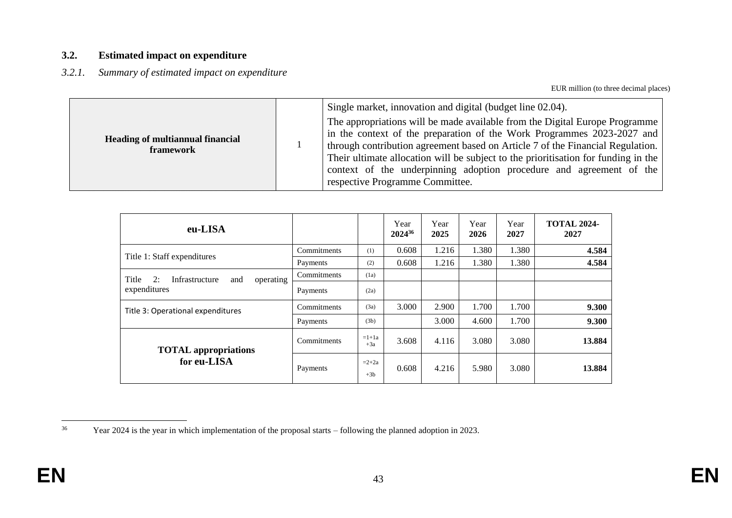#### **3.2. Estimated impact on expenditure**

#### *3.2.1. Summary of estimated impact on expenditure*

EUR million (to three decimal places)

| <b>Heading of multiannual financial</b><br>framework |  | Single market, innovation and digital (budget line 02.04).<br>The appropriations will be made available from the Digital Europe Programme<br>in the context of the preparation of the Work Programmes 2023-2027 and<br>through contribution agreement based on Article 7 of the Financial Regulation.<br>Their ultimate allocation will be subject to the prioritisation for funding in the<br>context of the underpinning adoption procedure and agreement of the<br>respective Programme Committee. |
|------------------------------------------------------|--|-------------------------------------------------------------------------------------------------------------------------------------------------------------------------------------------------------------------------------------------------------------------------------------------------------------------------------------------------------------------------------------------------------------------------------------------------------------------------------------------------------|
|------------------------------------------------------|--|-------------------------------------------------------------------------------------------------------------------------------------------------------------------------------------------------------------------------------------------------------------------------------------------------------------------------------------------------------------------------------------------------------------------------------------------------------------------------------------------------------|

<span id="page-43-1"></span><span id="page-43-0"></span>

| eu-LISA                                           |             |                  | Year<br>202436 | Year<br>2025 | Year<br>2026 | Year<br>2027 | <b>TOTAL 2024-</b><br>2027 |
|---------------------------------------------------|-------------|------------------|----------------|--------------|--------------|--------------|----------------------------|
|                                                   | Commitments | (1)              | 0.608          | 1.216        | 1.380        | 1.380        | 4.584                      |
| Title 1: Staff expenditures                       | Payments    | (2)              | 0.608          | 1.216        | 1.380        | 1.380        | 4.584                      |
| 2:<br>operating<br>Infrastructure<br>Title<br>and | Commitments | (1a)             |                |              |              |              |                            |
| expenditures                                      | Payments    | (2a)             |                |              |              |              |                            |
| Title 3: Operational expenditures                 | Commitments | (3a)             | 3.000          | 2.900        | 1.700        | 1.700        | 9.300                      |
|                                                   | Payments    | (3b)             |                | 3.000        | 4.600        | 1.700        | 9.300                      |
| <b>TOTAL</b> appropriations                       | Commitments | $=1+1a$<br>$+3a$ | 3.608          | 4.116        | 3.080        | 3.080        | 13.884                     |
| for eu-LISA                                       | Payments    | $=2+2a$<br>$+3b$ | 0.608          | 4.216        | 5.980        | 3.080        | 13.884                     |

<sup>36</sup> <sup>36</sup> Year 2024 is the year in which implementation of the proposal starts – following the planned adoption in 2023.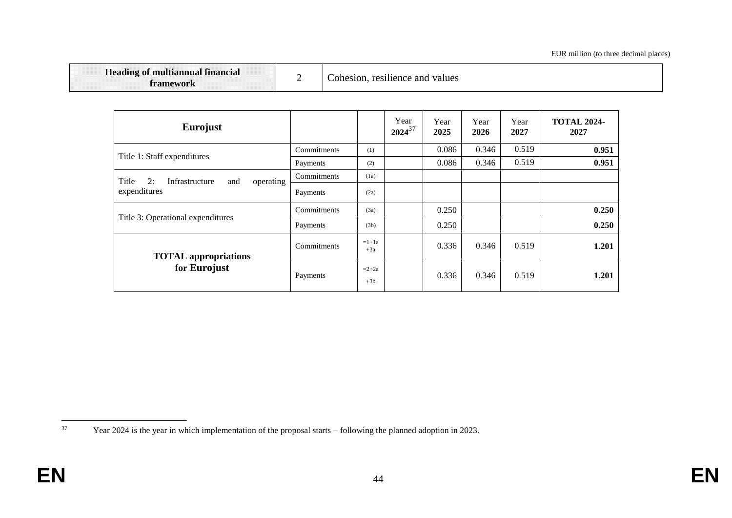| <b>Heading of multiannual financial</b><br>tramework |  | Cohesion, resilience and values |
|------------------------------------------------------|--|---------------------------------|
|------------------------------------------------------|--|---------------------------------|

| <b>Eurojust</b>                                   |             |                  | Year<br>$2024^{37}$ | Year<br>2025 | Year<br>2026 | Year<br>2027 | <b>TOTAL 2024-</b><br>2027 |
|---------------------------------------------------|-------------|------------------|---------------------|--------------|--------------|--------------|----------------------------|
|                                                   | Commitments | (1)              |                     | 0.086        | 0.346        | 0.519        | 0.951                      |
| Title 1: Staff expenditures                       | Payments    | (2)              |                     | 0.086        | 0.346        | 0.519        | 0.951                      |
| 2:<br>Title<br>operating<br>Infrastructure<br>and | Commitments | (1a)             |                     |              |              |              |                            |
| expenditures                                      | Payments    | (2a)             |                     |              |              |              |                            |
|                                                   | Commitments | (3a)             |                     | 0.250        |              |              | 0.250                      |
| Title 3: Operational expenditures                 | Payments    | (3b)             |                     | 0.250        |              |              | 0.250                      |
| <b>TOTAL</b> appropriations                       | Commitments | $=1+1a$<br>$+3a$ |                     | 0.336        | 0.346        | 0.519        | 1.201                      |
| for Eurojust                                      | Payments    | $=2+2a$<br>$+3b$ |                     | 0.336        | 0.346        | 0.519        | 1.201                      |

<sup>37</sup> <sup>37</sup> Year 2024 is the year in which implementation of the proposal starts – following the planned adoption in 2023.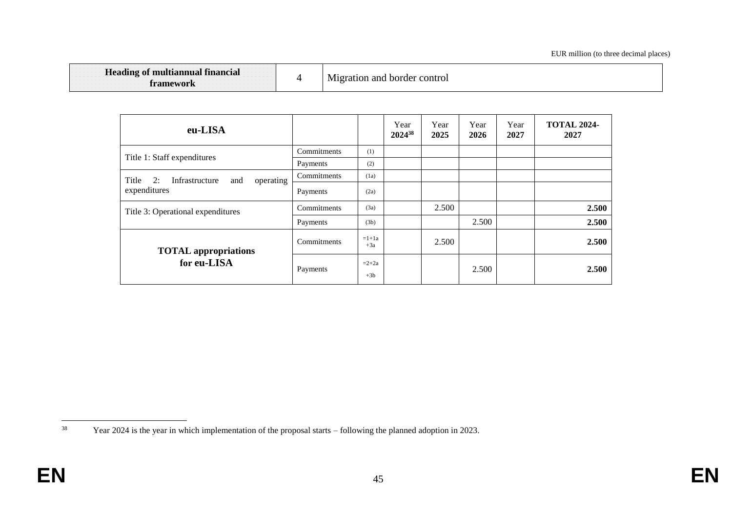| Heading of multiannual financial<br>tramework |  | Migration and border<br>: control |
|-----------------------------------------------|--|-----------------------------------|
|-----------------------------------------------|--|-----------------------------------|

| eu-LISA                                           |             |                  | Year<br>202438 | Year<br>2025 | Year<br>2026 | Year<br>2027 | <b>TOTAL 2024-</b><br>2027 |
|---------------------------------------------------|-------------|------------------|----------------|--------------|--------------|--------------|----------------------------|
| Title 1: Staff expenditures                       | Commitments | (1)              |                |              |              |              |                            |
|                                                   | Payments    | (2)              |                |              |              |              |                            |
| 2:<br>Infrastructure<br>operating<br>Title<br>and | Commitments | (1a)             |                |              |              |              |                            |
| expenditures                                      | Payments    | (2a)             |                |              |              |              |                            |
| Title 3: Operational expenditures                 | Commitments | (3a)             |                | 2.500        |              |              | 2.500                      |
|                                                   | Payments    | (3b)             |                |              | 2.500        |              | 2.500                      |
| <b>TOTAL</b> appropriations                       | Commitments | $=1+1a$<br>$+3a$ |                | 2.500        |              |              | 2.500                      |
| for eu-LISA                                       | Payments    | $=2+2a$<br>$+3b$ |                |              | 2.500        |              | 2.500                      |

<sup>38</sup> <sup>38</sup> Year 2024 is the year in which implementation of the proposal starts – following the planned adoption in 2023.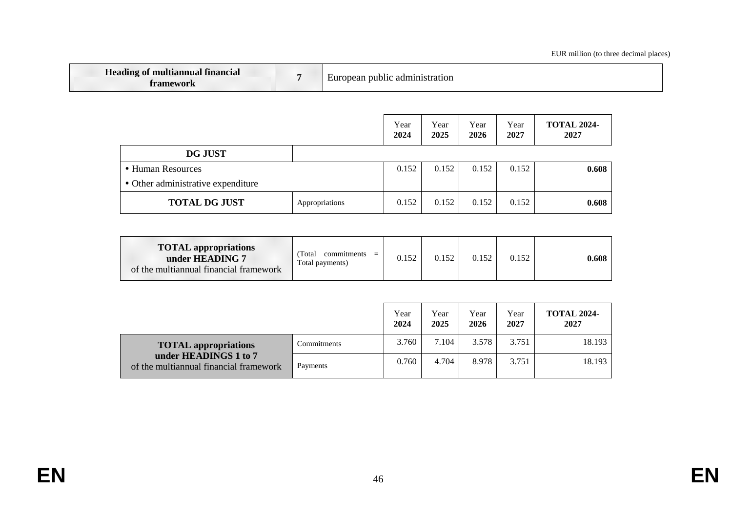| <b>Heading of multiannual financial</b><br>tramework | - Eur | admınıst<br>public<br>ration<br>pean |  |
|------------------------------------------------------|-------|--------------------------------------|--|
|------------------------------------------------------|-------|--------------------------------------|--|

|                                    |                | Year<br>2024 | Year<br>2025 | Year<br>2026 | Year<br>2027 | <b>TOTAL 2024-</b><br>2027 |
|------------------------------------|----------------|--------------|--------------|--------------|--------------|----------------------------|
| <b>DG JUST</b>                     |                |              |              |              |              |                            |
| • Human Resources                  |                |              | 0.152        | 0.152        | 0.152        | 0.608                      |
| • Other administrative expenditure |                |              |              |              |              |                            |
| <b>TOTAL DG JUST</b>               | Appropriations | 0.152        | 0.152        | 0.152        | 0.152        | 0.608                      |

| <b>TOTAL</b> appropriations<br>under HEADING 7<br>of the multiannual financial framework | Total<br>commitments<br>Total payments) | 52 |  | 0.152 | 0.152 | 0.608 |
|------------------------------------------------------------------------------------------|-----------------------------------------|----|--|-------|-------|-------|
|------------------------------------------------------------------------------------------|-----------------------------------------|----|--|-------|-------|-------|

|                                                                 |             | Year<br>2024 | Year<br>2025 | Year<br>2026 | Year<br>2027 | <b>TOTAL 2024-</b><br>2027 |
|-----------------------------------------------------------------|-------------|--------------|--------------|--------------|--------------|----------------------------|
| <b>TOTAL</b> appropriations                                     | Commitments | 3.760        | 7.104        | 3.578        | 3.751        | 18.193                     |
| under HEADINGS 1 to 7<br>of the multiannual financial framework | Payments    | 0.760        | 4.704        | 8.978        | 3.751        | 18.193                     |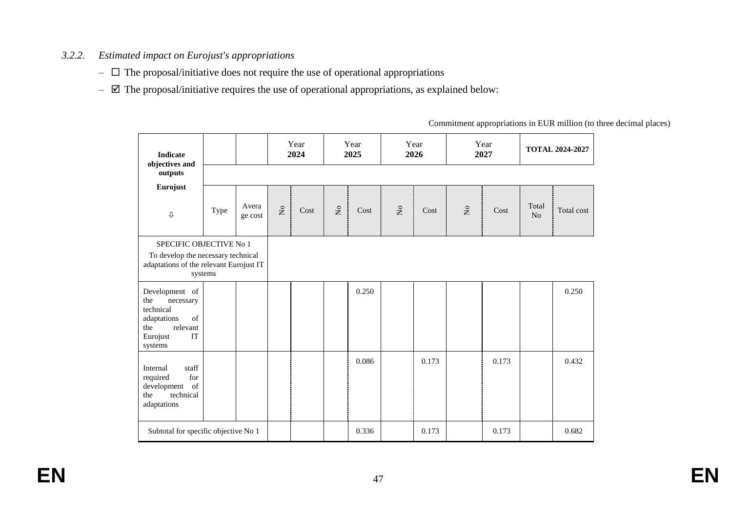### *3.2.2. Estimated impact on Eurojust's appropriations*

- $\Box$  The proposal/initiative does not require the use of operational appropriations
- $\boxtimes$  The proposal/initiative requires the use of operational appropriations, as explained below:

<span id="page-47-0"></span>

| <b>Indicate</b><br>objectives and                                                                                    |      |                  |                           | Year<br>2024 |             | Year<br>2025 |                               | Year<br>2026 |                               | Year<br>2027 |                         | <b>TOTAL 2024-2027</b> |
|----------------------------------------------------------------------------------------------------------------------|------|------------------|---------------------------|--------------|-------------|--------------|-------------------------------|--------------|-------------------------------|--------------|-------------------------|------------------------|
| outputs                                                                                                              |      |                  |                           |              |             |              |                               |              |                               |              |                         |                        |
| Eurojust<br>$\rm \Phi$                                                                                               | Type | Avera<br>ge cost | $\mathsf{S}^{\mathsf{o}}$ | Cost         | $\tilde{z}$ | Cost         | $\rm \stackrel{\circ}{\rm X}$ | Cost         | $\rm \stackrel{\circ}{\rm X}$ | Cost         | Total<br>N <sub>o</sub> | Total cost             |
| SPECIFIC OBJECTIVE No 1<br>To develop the necessary technical<br>adaptations of the relevant Eurojust IT<br>systems  |      |                  |                           |              |             |              |                               |              |                               |              |                         |                        |
| Development of<br>the<br>necessary<br>technical<br>adaptations<br>of<br>relevant<br>the<br>IT<br>Eurojust<br>systems |      |                  |                           |              |             | 0.250        |                               |              |                               |              |                         | 0.250                  |
| staff<br>Internal<br>for<br>required<br>of<br>development<br>technical<br>the<br>adaptations                         |      |                  |                           |              |             | 0.086        |                               | 0.173        |                               | 0.173        |                         | 0.432                  |
| Subtotal for specific objective No 1                                                                                 |      |                  |                           |              |             | 0.336        |                               | 0.173        |                               | 0.173        |                         | 0.682                  |

Commitment appropriations in EUR million (to three decimal places)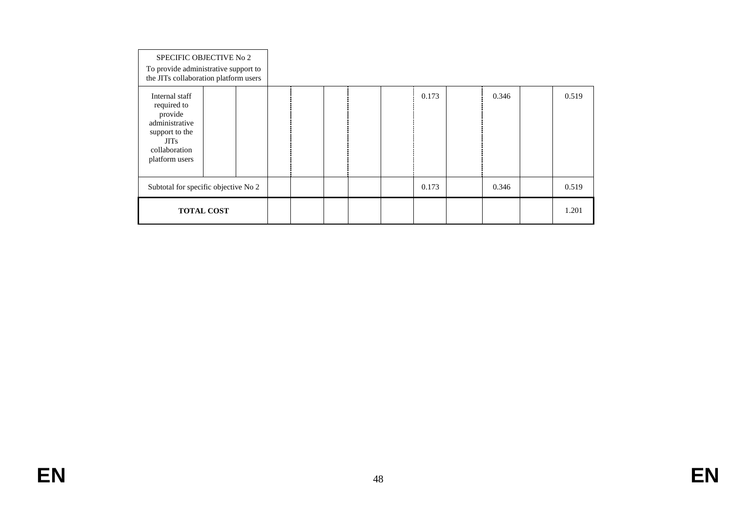| SPECIFIC OBJECTIVE No 2<br>To provide administrative support to<br>the JITs collaboration platform users                       |                   |  |  |  |       |       |       |
|--------------------------------------------------------------------------------------------------------------------------------|-------------------|--|--|--|-------|-------|-------|
| Internal staff<br>required to<br>provide<br>administrative<br>support to the<br><b>JITs</b><br>collaboration<br>platform users |                   |  |  |  | 0.173 | 0.346 | 0.519 |
| Subtotal for specific objective No 2                                                                                           |                   |  |  |  | 0.173 | 0.346 | 0.519 |
|                                                                                                                                | <b>TOTAL COST</b> |  |  |  |       |       | 1.201 |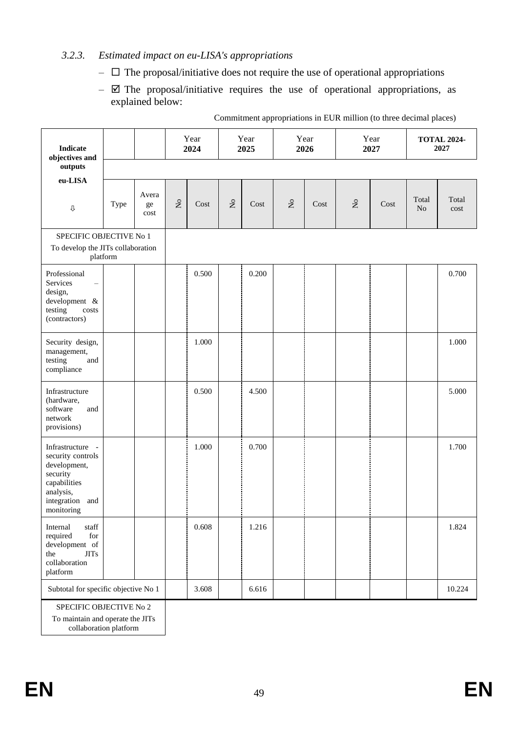### <span id="page-49-0"></span>*3.2.3. Estimated impact on eu-LISA's appropriations*

- $\Box$  The proposal/initiative does not require the use of operational appropriations
- $\boxtimes$  The proposal/initiative requires the use of operational appropriations, as explained below:

| <b>Indicate</b><br>objectives and                                                                                               |          |                     |             | Year<br>2024 |                                | Year<br>2025 |                                    | Year<br>2026 |                    | Year<br>2027 |             | <b>TOTAL 2024-</b><br>2027 |
|---------------------------------------------------------------------------------------------------------------------------------|----------|---------------------|-------------|--------------|--------------------------------|--------------|------------------------------------|--------------|--------------------|--------------|-------------|----------------------------|
| outputs                                                                                                                         |          |                     |             |              |                                |              |                                    |              |                    |              |             |                            |
| eu-LISA<br>$\hat{\Upsilon}$                                                                                                     | Type     | Avera<br>ge<br>cost | $\rm _{No}$ | Cost         | $\stackrel{\circ}{\mathsf{X}}$ | Cost         | $\rm \stackrel{\circ}{\mathbf{Z}}$ | Cost         | $\rm _{N}^{\circ}$ | Cost         | Total<br>No | Total<br>cost              |
| SPECIFIC OBJECTIVE No 1<br>To develop the JITs collaboration                                                                    | platform |                     |             |              |                                |              |                                    |              |                    |              |             |                            |
| Professional<br>Services<br>design,<br>development &<br>testing<br>costs<br>(contractors)                                       |          |                     |             | 0.500        |                                | 0.200        |                                    |              |                    |              |             | 0.700                      |
| Security design,<br>management,<br>testing<br>and<br>compliance                                                                 |          |                     |             | 1.000        |                                |              |                                    |              |                    |              |             | 1.000                      |
| Infrastructure<br>(hardware,<br>software<br>and<br>network<br>provisions)                                                       |          |                     |             | 0.500        |                                | 4.500        |                                    |              |                    |              |             | 5.000                      |
| Infrastructure -<br>security controls<br>development,<br>security<br>capabilities<br>analysis,<br>integration and<br>monitoring |          |                     |             | 1.000        |                                | 0.700        |                                    |              |                    |              |             | 1.700                      |
| Internal<br>$_{\mbox{staff}}$<br>required<br>for<br>development of<br><b>JITs</b><br>the<br>collaboration<br>platform           |          |                     |             | 0.608        |                                | 1.216        |                                    |              |                    |              |             | 1.824                      |
| Subtotal for specific objective No 1                                                                                            |          |                     |             | 3.608        |                                | 6.616        |                                    |              |                    |              |             | 10.224                     |

Commitment appropriations in EUR million (to three decimal places)

SPECIFIC OBJECTIVE No 2

To maintain and operate the JITs

collaboration platform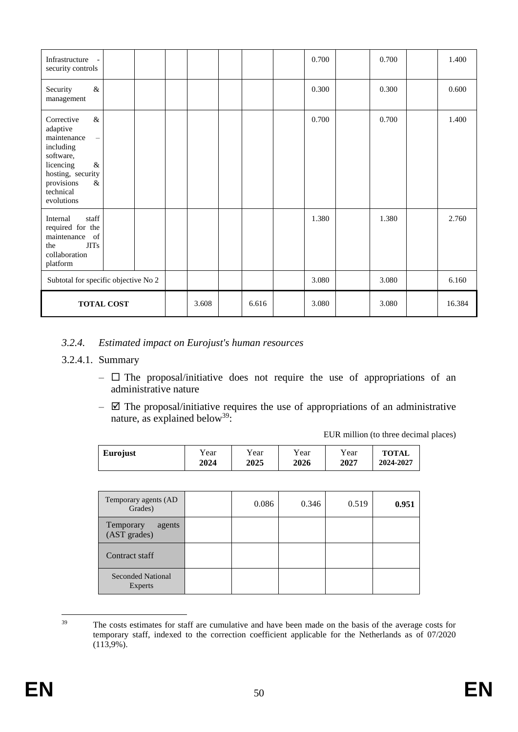| Infrastructure<br>$\blacksquare$<br>security controls                                                                                                                          |       |       | 0.700 | 0.700 | 1.400  |
|--------------------------------------------------------------------------------------------------------------------------------------------------------------------------------|-------|-------|-------|-------|--------|
| $\&$<br>Security<br>management                                                                                                                                                 |       |       | 0.300 | 0.300 | 0.600  |
| $\&$<br>Corrective<br>adaptive<br>maintenance<br>$\equiv$<br>including<br>software,<br>licencing<br>$\&$<br>hosting, security<br>provisions<br>$\&$<br>technical<br>evolutions |       |       | 0.700 | 0.700 | 1.400  |
| staff<br>Internal<br>required for the<br>of<br>maintenance<br>the<br><b>JITs</b><br>collaboration<br>platform                                                                  |       |       | 1.380 | 1.380 | 2.760  |
| Subtotal for specific objective No 2                                                                                                                                           |       |       | 3.080 | 3.080 | 6.160  |
| <b>TOTAL COST</b>                                                                                                                                                              | 3.608 | 6.616 | 3.080 | 3.080 | 16.384 |

#### <span id="page-50-0"></span>*3.2.4. Estimated impact on Eurojust's human resources*

#### 3.2.4.1. Summary

- $\Box$  The proposal/initiative does not require the use of appropriations of an administrative nature
- $\boxtimes$  The proposal/initiative requires the use of appropriations of an administrative nature, as explained below<sup>39</sup>:

EUR million (to three decimal places)

| Eurojust | Y ear | Year | Y ear | Year | <b>TOTAL</b> |
|----------|-------|------|-------|------|--------------|
|          | 2024  | 2025 | 2026  | 2027 | 2024-2027    |

| Temporary agents (AD<br>Grades)            | 0.086 | 0.346 | 0.519 | 0.951 |
|--------------------------------------------|-------|-------|-------|-------|
| Temporary<br>agents<br>(AST grades)        |       |       |       |       |
| Contract staff                             |       |       |       |       |
| <b>Seconded National</b><br><b>Experts</b> |       |       |       |       |

39 The costs estimates for staff are cumulative and have been made on the basis of the average costs for temporary staff, indexed to the correction coefficient applicable for the Netherlands as of 07/2020 (113,9%).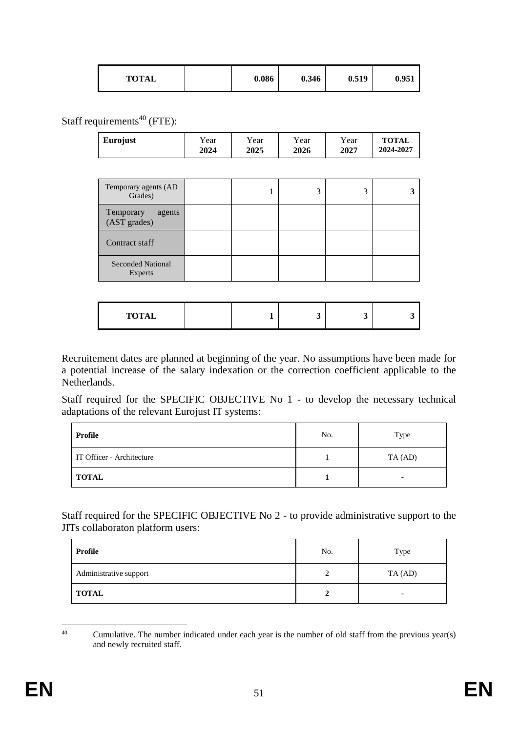Staff requirements<sup>40</sup> (FTE):

| Eurojust                            | Year<br>2024 | Year<br>2025 | Year<br>2026 | Year<br>2027 | <b>TOTAL</b><br>2024-2027 |
|-------------------------------------|--------------|--------------|--------------|--------------|---------------------------|
|                                     |              |              |              |              |                           |
| Temporary agents (AD<br>Grades)     |              | л            | 3            | 3            | 3                         |
| Temporary<br>agents<br>(AST grades) |              |              |              |              |                           |
| Contract staff                      |              |              |              |              |                           |
| <b>Seconded National</b><br>Experts |              |              |              |              |                           |

|--|

Recruitement dates are planned at beginning of the year. No assumptions have been made for a potential increase of the salary indexation or the correction coefficient applicable to the Netherlands.

Staff required for the SPECIFIC OBJECTIVE No 1 - to develop the necessary technical adaptations of the relevant Eurojust IT systems:

| Profile                   | No. | Type    |
|---------------------------|-----|---------|
| IT Officer - Architecture |     | TA (AD) |
| <b>TOTAL</b>              |     |         |

Staff required for the SPECIFIC OBJECTIVE No 2 - to provide administrative support to the JITs collaboraton platform users:

| Profile                | No.<br>Type |   |  |
|------------------------|-------------|---|--|
| Administrative support | TA (AD)     |   |  |
| TOTAL                  |             | - |  |

 $40^{\circ}$ <sup>40</sup> Cumulative. The number indicated under each year is the number of old staff from the previous year(s) and newly recruited staff.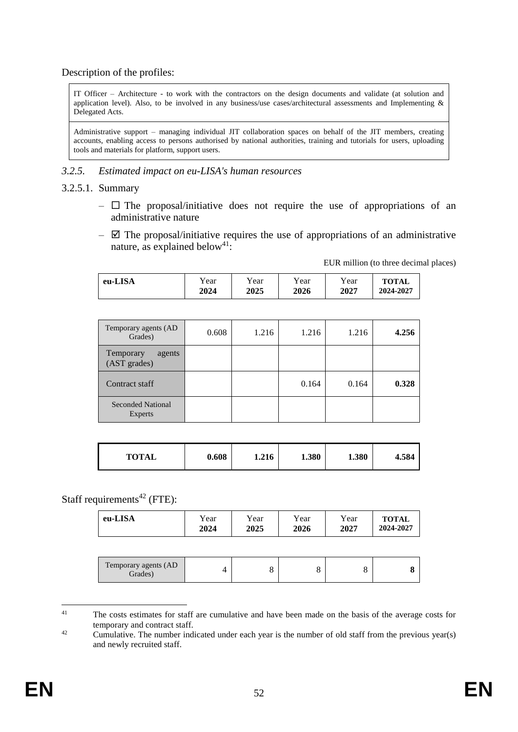Description of the profiles:

IT Officer – Architecture - to work with the contractors on the design documents and validate (at solution and application level). Also, to be involved in any business/use cases/architectural assessments and Implementing & Delegated Acts.

Administrative support – managing individual JIT collaboration spaces on behalf of the JIT members, creating accounts, enabling access to persons authorised by national authorities, training and tutorials for users, uploading tools and materials for platform, support users.

#### <span id="page-52-0"></span>*3.2.5. Estimated impact on eu-LISA's human resources*

#### 3.2.5.1. Summary

- $\Box$  The proposal/initiative does not require the use of appropriations of an administrative nature
- $\boxtimes$  The proposal/initiative requires the use of appropriations of an administrative nature, as explained below<sup>41</sup>:

EUR million (to three decimal places)

| eu-LISA | r ear | Y ear | Year | Year | <b>TOTAL</b> |
|---------|-------|-------|------|------|--------------|
|         | 2024  | 2025  | 2026 | 2027 | 2024-2027    |

| Temporary agents (AD<br>Grades)     | 0.608 | 1.216 | 1.216 | 1.216 | 4.256 |
|-------------------------------------|-------|-------|-------|-------|-------|
| Temporary<br>agents<br>(AST grades) |       |       |       |       |       |
| Contract staff                      |       |       | 0.164 | 0.164 | 0.328 |
| <b>Seconded National</b><br>Experts |       |       |       |       |       |

| <b>TOTAL</b> | 0.608 | 1.216 | 1.380 | 1.380 | 4.584 |
|--------------|-------|-------|-------|-------|-------|
|--------------|-------|-------|-------|-------|-------|

### Staff requirements<sup>42</sup> (FTE):

| eu-LISA                         | Year<br>2024   | Year<br>2025 | Year<br>2026 | Year<br>2027 | <b>TOTAL</b><br>2024-2027 |
|---------------------------------|----------------|--------------|--------------|--------------|---------------------------|
|                                 |                |              |              |              |                           |
| Temporary agents (AD<br>Grades) | $\overline{4}$ | 8            | 8            | 8            | 8                         |

 $41$ The costs estimates for staff are cumulative and have been made on the basis of the average costs for temporary and contract staff.

<sup>&</sup>lt;sup>42</sup> Cumulative. The number indicated under each year is the number of old staff from the previous year(s) and newly recruited staff.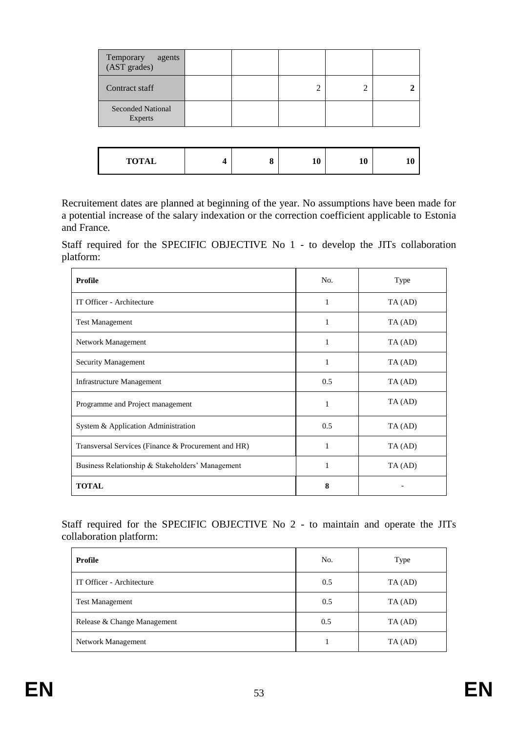| Temporary<br>agents<br>(AST grades) |  |   |   |  |
|-------------------------------------|--|---|---|--|
| Contract staff                      |  | ◠ | 2 |  |
| <b>Seconded National</b><br>Experts |  |   |   |  |
|                                     |  |   |   |  |

| <b>TOTAL</b><br>10<br>10<br>О |
|-------------------------------|
|-------------------------------|

Recruitement dates are planned at beginning of the year. No assumptions have been made for a potential increase of the salary indexation or the correction coefficient applicable to Estonia and France.

Staff required for the SPECIFIC OBJECTIVE No 1 - to develop the JITs collaboration platform:

| <b>Profile</b>                                      | No. | Type    |
|-----------------------------------------------------|-----|---------|
| IT Officer - Architecture                           | 1   | TA (AD) |
| <b>Test Management</b>                              | 1   | TA (AD) |
| Network Management                                  | 1   | TA (AD) |
| Security Management                                 | 1   | TA (AD) |
| Infrastructure Management                           | 0.5 | TA (AD) |
| Programme and Project management                    | 1   | TA (AD) |
| System & Application Administration                 | 0.5 | TA (AD) |
| Transversal Services (Finance & Procurement and HR) | 1   | TA (AD) |
| Business Relationship & Stakeholders' Management    | 1   | TA (AD) |
| <b>TOTAL</b>                                        | 8   |         |

Staff required for the SPECIFIC OBJECTIVE No 2 - to maintain and operate the JITs collaboration platform:

| Profile                     | No.<br>Type    |         |
|-----------------------------|----------------|---------|
| IT Officer - Architecture   | 0.5            | TA (AD) |
| <b>Test Management</b>      | 0.5<br>TA (AD) |         |
| Release & Change Management | 0.5            | TA (AD) |
| Network Management          |                | TA (AD) |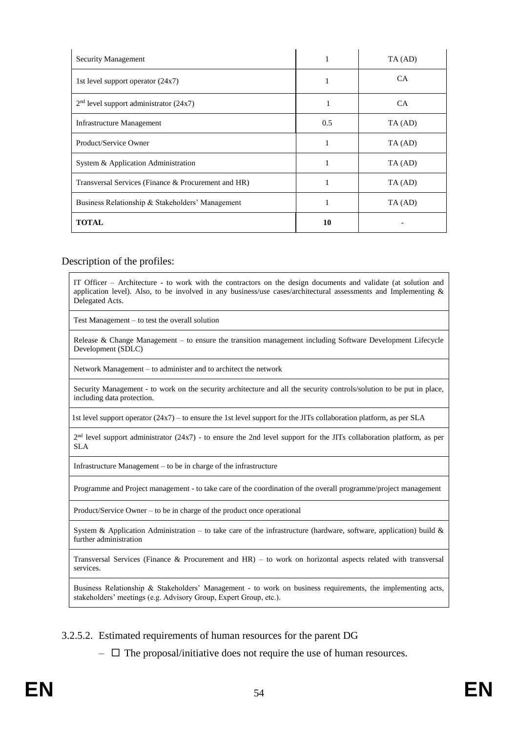| <b>Security Management</b>                          | ш   | TA (AD)   |
|-----------------------------------------------------|-----|-----------|
| 1st level support operator $(24x7)$                 |     | CA.       |
| $2nd$ level support administrator (24x7)            | 1   | <b>CA</b> |
| Infrastructure Management                           | 0.5 | TA (AD)   |
| Product/Service Owner                               | 1   | TA (AD)   |
| System & Application Administration                 |     | TA (AD)   |
| Transversal Services (Finance & Procurement and HR) |     | TA (AD)   |
| Business Relationship & Stakeholders' Management    |     | TA (AD)   |
| <b>TOTAL</b>                                        | 10  |           |

#### Description of the profiles:

IT Officer – Architecture - to work with the contractors on the design documents and validate (at solution and application level). Also, to be involved in any business/use cases/architectural assessments and Implementing & Delegated Acts.

Test Management – to test the overall solution

Release & Change Management – to ensure the transition management including Software Development Lifecycle Development (SDLC)

Network Management – to administer and to architect the network

Security Management - to work on the security architecture and all the security controls/solution to be put in place, including data protection.

1st level support operator (24x7) – to ensure the 1st level support for the JITs collaboration platform, as per SLA

 $2<sup>nd</sup>$  level support administrator (24x7) - to ensure the 2nd level support for the JITs collaboration platform, as per SLA

Infrastructure Management – to be in charge of the infrastructure

Programme and Project management - to take care of the coordination of the overall programme/project management

Product/Service Owner – to be in charge of the product once operational

System & Application Administration – to take care of the infrastructure (hardware, software, application) build  $\&$ further administration

Transversal Services (Finance & Procurement and HR) – to work on horizontal aspects related with transversal services.

Business Relationship & Stakeholders' Management - to work on business requirements, the implementing acts, stakeholders' meetings (e.g. Advisory Group, Expert Group, etc.).

3.2.5.2. Estimated requirements of human resources for the parent DG

 $\Box$  The proposal/initiative does not require the use of human resources.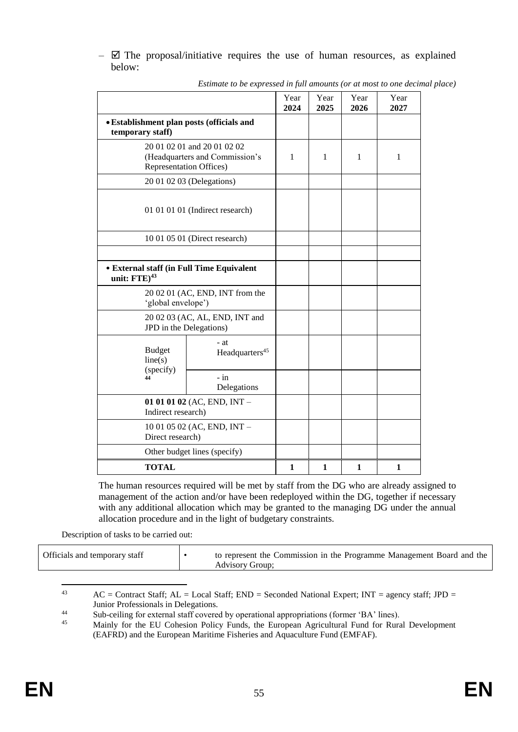$\boxtimes$  The proposal/initiative requires the use of human resources, as explained below:

|                                                                       |                                                                                                 | Year<br>2024 | Year<br>2025 | Year<br>2026 | Year<br>2027 |
|-----------------------------------------------------------------------|-------------------------------------------------------------------------------------------------|--------------|--------------|--------------|--------------|
| • Establishment plan posts (officials and<br>temporary staff)         |                                                                                                 |              |              |              |              |
|                                                                       | 20 01 02 01 and 20 01 02 02<br>(Headquarters and Commission's<br><b>Representation Offices)</b> | 1            | 1            | 1            | $\mathbf{1}$ |
|                                                                       | 20 01 02 03 (Delegations)                                                                       |              |              |              |              |
| 01 01 01 01 (Indirect research)                                       |                                                                                                 |              |              |              |              |
|                                                                       | 10 01 05 01 (Direct research)                                                                   |              |              |              |              |
|                                                                       |                                                                                                 |              |              |              |              |
| <b>• External staff (in Full Time Equivalent</b><br>unit: $FTE)^{43}$ |                                                                                                 |              |              |              |              |
| 20 02 01 (AC, END, INT from the<br>'global envelope')                 |                                                                                                 |              |              |              |              |
| 20 02 03 (AC, AL, END, INT and<br>JPD in the Delegations)             |                                                                                                 |              |              |              |              |
| <b>Budget</b><br>line(s)                                              | - at<br>Headquarters <sup>45</sup>                                                              |              |              |              |              |
| (specify)<br>44                                                       | $-$ in<br>Delegations                                                                           |              |              |              |              |
| 01 01 01 02 (AC, END, INT $-$<br>Indirect research)                   |                                                                                                 |              |              |              |              |
| Direct research)                                                      | 10 01 05 02 (AC, END, INT -                                                                     |              |              |              |              |
|                                                                       | Other budget lines (specify)                                                                    |              |              |              |              |
| <b>TOTAL</b>                                                          |                                                                                                 | 1            | 1            | 1            | 1            |

*Estimate to be expressed in full amounts (or at most to one decimal place)*

The human resources required will be met by staff from the DG who are already assigned to management of the action and/or have been redeployed within the DG, together if necessary with any additional allocation which may be granted to the managing DG under the annual allocation procedure and in the light of budgetary constraints.

Description of tasks to be carried out:

| Officials and temporary staff<br>to represent the Commission in the Programme Management Board and the<br><b>Advisory Group:</b> |
|----------------------------------------------------------------------------------------------------------------------------------|
|----------------------------------------------------------------------------------------------------------------------------------|

 $\overline{a}$ <sup>43</sup> AC = Contract Staff; AL = Local Staff; END = Seconded National Expert; INT = agency staff; JPD = Junior Professionals in Delegations.

44 Sub-ceiling for external staff covered by operational appropriations (former 'BA' lines).<br>45 Mainly for the EU Cohesion Policy Eunds, the European Agricultural Eund for Rurs

Mainly for the EU Cohesion Policy Funds, the European Agricultural Fund for Rural Development (EAFRD) and the European Maritime Fisheries and Aquaculture Fund (EMFAF).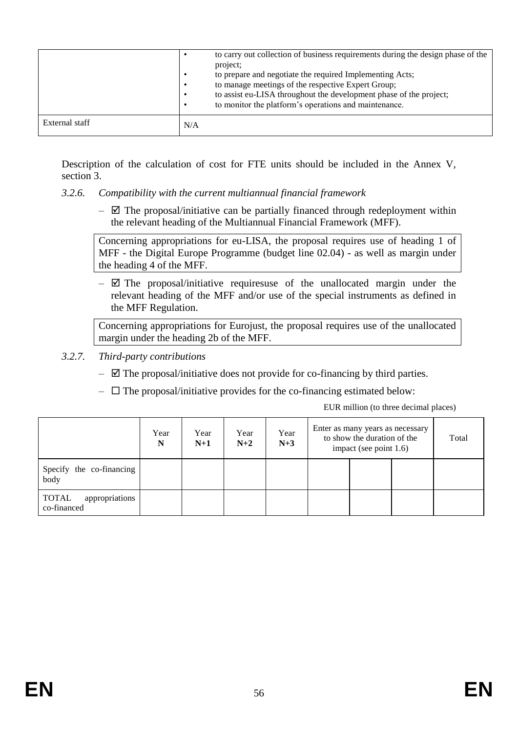|                | to carry out collection of business requirements during the design phase of the<br>project;<br>to prepare and negotiate the required Implementing Acts;<br>to manage meetings of the respective Expert Group;<br>to assist eu-LISA throughout the development phase of the project;<br>to monitor the platform's operations and maintenance. |
|----------------|----------------------------------------------------------------------------------------------------------------------------------------------------------------------------------------------------------------------------------------------------------------------------------------------------------------------------------------------|
| External staff | N/A                                                                                                                                                                                                                                                                                                                                          |

Description of the calculation of cost for FTE units should be included in the Annex V, section 3.

### <span id="page-56-0"></span>*3.2.6. Compatibility with the current multiannual financial framework*

 $\boxtimes$  The proposal/initiative can be partially financed through redeployment within the relevant heading of the Multiannual Financial Framework (MFF).

Concerning appropriations for eu-LISA, the proposal requires use of heading 1 of MFF - the Digital Europe Programme (budget line 02.04) - as well as margin under the heading 4 of the MFF.

 $\boxtimes$  The proposal/initiative requiresuse of the unallocated margin under the relevant heading of the MFF and/or use of the special instruments as defined in the MFF Regulation.

Concerning appropriations for Eurojust, the proposal requires use of the unallocated margin under the heading 2b of the MFF.

- <span id="page-56-1"></span>*3.2.7. Third-party contributions* 
	- $\boxtimes$  The proposal/initiative does not provide for co-financing by third parties.
	- $\Box$  The proposal/initiative provides for the co-financing estimated below:

EUR million (to three decimal places)

|                                        | Year<br>N | Year<br>$N+1$ | Year<br>$N+2$ | Year<br>$N+3$ | Enter as many years as necessary<br>to show the duration of the<br>impact (see point 1.6) |  |  | Total |
|----------------------------------------|-----------|---------------|---------------|---------------|-------------------------------------------------------------------------------------------|--|--|-------|
| Specify the co-financing<br>body       |           |               |               |               |                                                                                           |  |  |       |
| appropriations<br>TOTAL<br>co-financed |           |               |               |               |                                                                                           |  |  |       |